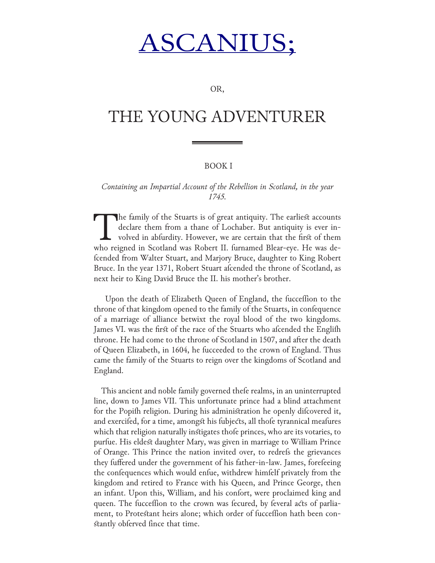# SCANIU

OR,

## THE YOUNG ADVENTURER

#### BOOK I

*Containing an Impartial Account of the Rebellion in Scotland, in the year 1745.*

The family of the Stuarts is of great antiquity. The earliest accounts declare them from a thane of Lochaber. But antiquity is ever involved in abfurdity. However, we are certain that the first of them who reigned in Scotl declare them from a thane of Lochaber. But antiquity is ever involved in abfurdity. However, we are certain that the first of them who reigned in Scotland was Robert II. furnamed Blear-eye. He was defcended from Walter Stuart, and Marjory Bruce, daughter to King Robert Bruce. In the year 1371, Robert Stuart afcended the throne of Scotland, as next heir to King David Bruce the II. his mother's brother.

Upon the death of Elizabeth Queen of England, the fucceffion to the throne of that kingdom opened to the family of the Stuarts, in confequence of a marriage of alliance betwixt the royal blood of the two kingdoms. James VI. was the first of the race of the Stuarts who afcended the Englifh throne. He had come to the throne of Scotland in 1507, and after the death of Queen Elizabeth, in 1604, he fucceeded to the crown of England. Thus came the family of the Stuarts to reign over the kingdoms of Scotland and England.

This ancient and noble family governed thefe realms, in an uninterrupted line, down to James VII. This unfortunate prince had a blind attachment for the Popifh religion. During his administration he openly difcovered it, and exercifed, for a time, amongst his fubjects, all thofe tyrannical meafures which that religion naturally instigates thofe princes, who are its votaries, to purfue. His eldest daughter Mary, was given in marriage to William Prince of Orange. This Prince the nation invited over, to redrefs the grievances they fuffered under the government of his father-in-law. James, forefeeing the confequences which would enfue, withdrew himfelf privately from the kingdom and retired to France with his Queen, and Prince George, then an infant. Upon this, William, and his confort, were proclaimed king and queen. The fucceffion to the crown was fecured, by feveral acts of parliament, to Protestant heirs alone; which order of fucceffion hath been constantly obferved fince that time.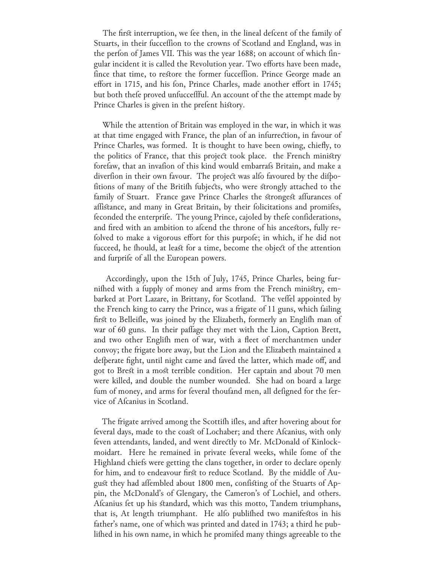The first interruption, we fee then, in the lineal defcent of the family of Stuarts, in their fucceffion to the crowns of Scotland and England, was in the perfon of James VII. This was the year 1688; on account of which fingular incident it is called the Revolution year. Two efforts have been made, fince that time, to restore the former fucceffion. Prince George made an effort in 1715, and his fon, Prince Charles, made another effort in 1745; but both thefe proved unfucceffful. An account of the the attempt made by Prince Charles is given in the prefent history.

 While the attention of Britain was employed in the war, in which it was at that time engaged with France, the plan of an infurrection, in favour of Prince Charles, was formed. It is thought to have been owing, chiefly, to the politics of France, that this project took place. the French ministry forefaw, that an invafion of this kind would embarrafs Britain, and make a diverfion in their own favour. The project was alfo favoured by the difpofitions of many of the Britifh fubjects, who were strongly attached to the family of Stuart. France gave Prince Charles the strongest affurances of affistance, and many in Great Britain, by their folicitations and promifes, feconded the enterprife. The young Prince, cajoled by thefe confiderations, and fired with an ambition to afcend the throne of his ancestors, fully refolved to make a vigorous effort for this purpofe; in which, if he did not fucceed, he fhould, at least for a time, become the object of the attention and furprife of all the European powers.

 Accordingly, upon the 15th of July, 1745, Prince Charles, being furnifhed with a fupply of money and arms from the French ministry, embarked at Port Lazare, in Brittany, for Scotland. The veffel appointed by the French king to carry the Prince, was a frigate of 11 guns, which failing first to Belleifle, was joined by the Elizabeth, formerly an Englifh man of war of 60 guns. In their paffage they met with the Lion, Caption Brett, and two other Englifh men of war, with a fleet of merchantmen under convoy; the frigate bore away, but the Lion and the Elizabeth maintained a defperate fight, until night came and faved the latter, which made off, and got to Brest in a most terrible condition. Her captain and about 70 men were killed, and double the number wounded. She had on board a large fum of money, and arms for feveral thoufand men, all defigned for the fervice of Afcanius in Scotland.

The frigate arrived among the Scottifh ifles, and after hovering about for feveral days, made to the coast of Lochaber; and there Afcanius, with only feven attendants, landed, and went directly to Mr. McDonald of Kinlockmoidart. Here he remained in private feveral weeks, while fome of the Highland chiefs were getting the clans together, in order to declare openly for him, and to endeavour first to reduce Scotland. By the middle of August they had affembled about 1800 men, confisting of the Stuarts of Appin, the McDonald's of Glengary, the Cameron's of Lochiel, and others. Afcanius fet up his standard, which was this motto, Tandem triumphans, that is, At length triumphant. He alfo publifhed two manifestos in his father's name, one of which was printed and dated in 1743; a third he publifhed in his own name, in which he promifed many things agreeable to the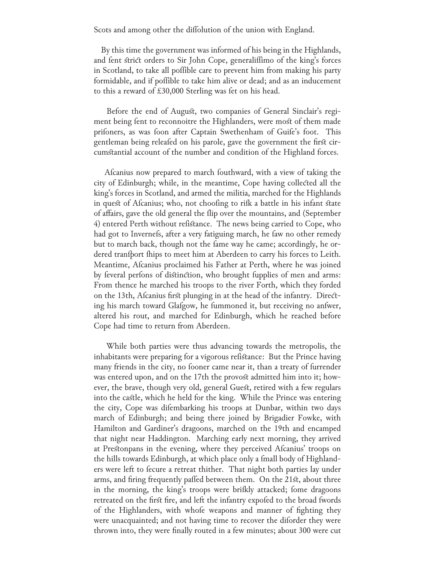Scots and among other the diffolution of the union with England.

 By this time the government was informed of his being in the Highlands, and fent strict orders to Sir John Cope, generaliffimo of the king's forces in Scotland, to take all poffible care to prevent him from making his party formidable, and if poffible to take him alive or dead; and as an inducement to this a reward of £30,000 Sterling was fet on his head.

 Before the end of August, two companies of General Sinclair's regiment being fent to reconnoitre the Highlanders, were most of them made prifoners, as was foon after Captain Swethenham of Guife's foot. This gentleman being releafed on his parole, gave the government the first circumstantial account of the number and condition of the Highland forces.

Afcanius now prepared to march fouthward, with a view of taking the city of Edinburgh; while, in the meantime, Cope having collected all the king's forces in Scotland, and armed the militia, marched for the Highlands in quest of Afcanius; who, not choofing to rifk a battle in his infant state of affairs, gave the old general the flip over the mountains, and (September 4) entered Perth without refistance. The news being carried to Cope, who had got to Invernefs, after a very fatiguing march, he faw no other remedy but to march back, though not the fame way he came; accordingly, he ordered tranfport fhips to meet him at Aberdeen to carry his forces to Leith. Meantime, Afcanius proclaimed his Father at Perth, where he was joined by feveral perfons of distinction, who brought fupplies of men and arms: From thence he marched his troops to the river Forth, which they forded on the 13th, Afcanius first plunging in at the head of the infantry. Directing his march toward Glafgow, he fummoned it, but receiving no anfwer, altered his rout, and marched for Edinburgh, which he reached before Cope had time to return from Aberdeen.

 While both parties were thus advancing towards the metropolis, the inhabitants were preparing for a vigorous refistance: But the Prince having many friends in the city, no fooner came near it, than a treaty of furrender was entered upon, and on the 17th the provost admitted him into it; however, the brave, though very old, general Guest, retired with a few regulars into the castle, which he held for the king. While the Prince was entering the city, Cope was difembarking his troops at Dunbar, within two days march of Edinburgh; and being there joined by Brigadier Fowke, with Hamilton and Gardiner's dragoons, marched on the 19th and encamped that night near Haddington. Marching early next morning, they arrived at Prestonpans in the evening, where they perceived Afcanius' troops on the hills towards Edinburgh, at which place only a fmall body of Highlanders were left to fecure a retreat thither. That night both parties lay under arms, and firing frequently paffed between them. On the 21st, about three in the morning, the king's troops were brifkly attacked; fome dragoons retreated on the first fire, and left the infantry expofed to the broad fwords of the Highlanders, with whofe weapons and manner of fighting they were unacquainted; and not having time to recover the diforder they were thrown into, they were finally routed in a few minutes; about 300 were cut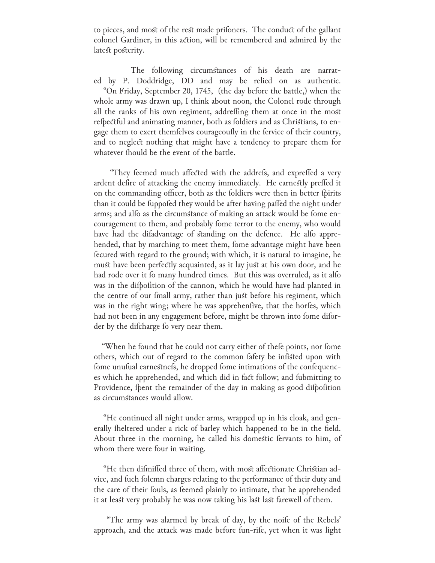to pieces, and most of the rest made prifoners. The conduct of the gallant colonel Gardiner, in this action, will be remembered and admired by the latest posterity.

 The following circumstances of his death are narrated by P. Doddridge, DD and may be relied on as authentic. "On Friday, September 20, 1745, (the day before the battle,) when the whole army was drawn up, I think about noon, the Colonel rode through all the ranks of his own regiment, addrefling them at once in the most refpectful and animating manner, both as foldiers and as Christians, to engage them to exert themfelves courageoufly in the fervice of their country, and to neglect nothing that might have a tendency to prepare them for whatever fhould be the event of the battle.

"They feemed much affected with the addrefs, and expreffed a very ardent defire of attacking the enemy immediately. He earnestly preffed it on the commanding officer, both as the foldiers were then in better fpirits than it could be fuppofed they would be after having paffed the night under arms; and alfo as the circumstance of making an attack would be fome encouragement to them, and probably fome terror to the enemy, who would have had the difadvantage of standing on the defence. He alfo apprehended, that by marching to meet them, fome advantage might have been fecured with regard to the ground; with which, it is natural to imagine, he must have been perfectly acquainted, as it lay just at his own door, and he had rode over it fo many hundred times. But this was overruled, as it alfo was in the difpofition of the cannon, which he would have had planted in the centre of our fmall army, rather than just before his regiment, which was in the right wing; where he was apprehenfive, that the horfes, which had not been in any engagement before, might be thrown into fome diforder by the difcharge fo very near them.

"When he found that he could not carry either of the e points, nor fome others, which out of regard to the common fafety be infisted upon with fome unufual earnestnefs, he dropped fome intimations of the confequences which he apprehended, and which did in fact follow; and fubmitting to Providence, fpent the remainder of the day in making as good difpofition as circumstances would allow.

 "He continued all night under arms, wrapped up in his cloak, and generally fheltered under a rick of barley which happened to be in the field. About three in the morning, he called his domestic fervants to him, of whom there were four in waiting.

"He then difmiffed three of them, with most affectionate Christian advice, and fuch folemn charges relating to the performance of their duty and the care of their fouls, as feemed plainly to intimate, that he apprehended it at least very probably he was now taking his last last farewell of them.

"The army was alarmed by break of day, by the noife of the Rebels' approach, and the attack was made before fun-rife, yet when it was light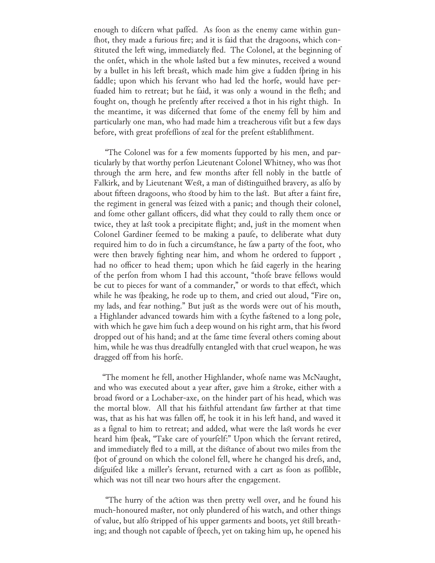enough to difcern what paffed. As foon as the enemy came within gunfhot, they made a furious fire; and it is faid that the dragoons, which constituted the left wing, immediately fled. The Colonel, at the beginning of the onfet, which in the whole lasted but a few minutes, received a wound by a bullet in his left breast, which made him give a fudden fpring in his faddle; upon which his fervant who had led the horfe, would have perfuaded him to retreat; but he faid, it was only a wound in the flefh; and fought on, though he prefently after received a fhot in his right thigh. In the meantime, it was difcerned that fome of the enemy fell by him and particularly one man, who had made him a treacherous vifit but a few days before, with great profeffions of zeal for the prefent establifhment.

"The Colonel was for a few moments fupported by his men, and particularly by that worthy perfon Lieutenant Colonel Whitney, who was fhot through the arm here, and few months after fell nobly in the battle of Falkirk, and by Lieutenant West, a man of distinguifhed bravery, as alfo by about fifteen dragoons, who stood by him to the last. But after a faint fire, the regiment in general was feized with a panic; and though their colonel, and fome other gallant officers, did what they could to rally them once or twice, they at last took a precipitate flight; and, just in the moment when Colonel Gardiner feemed to be making a paufe, to deliberate what duty required him to do in fuch a circumstance, he faw a party of the foot, who were then bravely fighting near him, and whom he ordered to fupport, had no officer to head them; upon which he faid eagerly in the hearing of the perfon from whom I had this account, "thofe brave fellows would be cut to pieces for want of a commander," or words to that effect, which while he was fpeaking, he rode up to them, and cried out aloud, "Fire on, my lads, and fear nothing." But just as the words were out of his mouth, a Highlander advanced towards him with a fcythe fastened to a long pole, with which he gave him fuch a deep wound on his right arm, that his fword dropped out of his hand; and at the fame time feveral others coming about him, while he was thus dreadfully entangled with that cruel weapon, he was dragged off from his horfe.

"The moment he fell, another Highlander, whofe name was McNaught, and who was executed about a year after, gave him a stroke, either with a broad fword or a Lochaber-axe, on the hinder part of his head, which was the mortal blow. All that his faithful attendant faw farther at that time was, that as his hat was fallen off, he took it in his left hand, and waved it as a fignal to him to retreat; and added, what were the last words he ever heard him fpeak, "Take care of yourfelf:" Upon which the fervant retired, and immediately fled to a mill, at the distance of about two miles from the fpot of ground on which the colonel fell, where he changed his drefs, and, difguifed like a miller's fervant, returned with a cart as foon as poffible, which was not till near two hours after the engagement.

 "The hurry of the action was then pretty well over, and he found his much-honoured master, not only plundered of his watch, and other things of value, but alfo stripped of his upper garments and boots, yet still breathing; and though not capable of fpeech, yet on taking him up, he opened his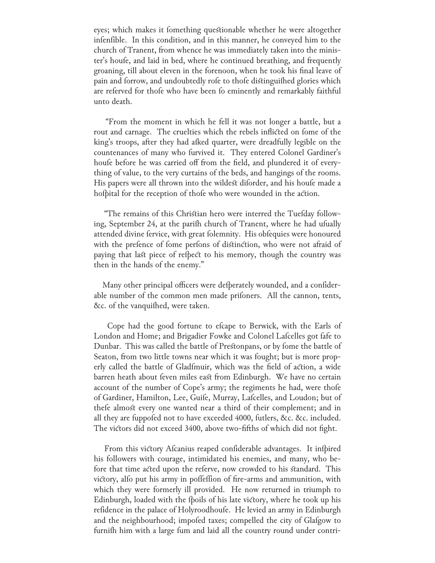eyes; which makes it fomething questionable whether he were altogether infenfible. In this condition, and in this manner, he conveyed him to the church of Tranent, from whence he was immediately taken into the minister's houfe, and laid in bed, where he continued breathing, and frequently groaning, till about eleven in the forenoon, when he took his final leave of pain and forrow, and undoubtedly rofe to thofe distinguifhed glories which are referved for thofe who have been fo eminently and remarkably faithful unto death.

 "From the moment in which he fell it was not longer a battle, but a rout and carnage. The cruelties which the rebels inflicted on fome of the king's troops, after they had afked quarter, were dreadfully legible on the countenances of many who furvived it. They entered Colonel Gardiner's houfe before he was carried off from the field, and plundered it of everything of value, to the very curtains of the beds, and hangings of the rooms. His papers were all thrown into the wildest diforder, and his houfe made a hofpital for the reception of thofe who were wounded in the action.

"The remains of this Christian hero were interred the Tuefday following, September 24, at the parifh church of Tranent, where he had ufually attended divine fervice, with great folemnity. His obfequies were honoured with the prefence of fome perfons of distinction, who were not afraid of paying that last piece of refpect to his memory, though the country was then in the hands of the enemy."

Many other principal officers were defperately wounded, and a confiderable number of the common men made prifoners. All the cannon, tents, &c. of the vanquifhed, were taken.

Cope had the good fortune to efcape to Berwick, with the Earls of London and Home; and Brigadier Fowke and Colonel Lafcelles got fafe to Dunbar. This was called the battle of Prestonpans, or by fome the battle of Seaton, from two little towns near which it was fought; but is more properly called the battle of Gladfmuir, which was the field of action, a wide barren heath about feven miles east from Edinburgh. We have no certain account of the number of Cope's army; the regiments he had, were thofe of Gardiner, Hamilton, Lee, Guife, Murray, Lafcelles, and Loudon; but of thefe almost every one wanted near a third of their complement; and in all they are fuppofed not to have exceeded 4000, futlers, &c. &c. included. The victors did not exceed 3400, above two-fifths of which did not fight.

From this victory Afcanius reaped confiderable advantages. It infpired his followers with courage, intimidated his enemies, and many, who before that time acted upon the referve, now crowded to his standard. This victory, alfo put his army in poffeffion of fire-arms and ammunition, with which they were formerly ill provided. He now returned in triumph to Edinburgh, loaded with the fpoils of his late victory, where he took up his refidence in the palace of Holyroodhoufe. He levied an army in Edinburgh and the neighbourhood; impofed taxes; compelled the city of Glafgow to furnifh him with a large fum and laid all the country round under contri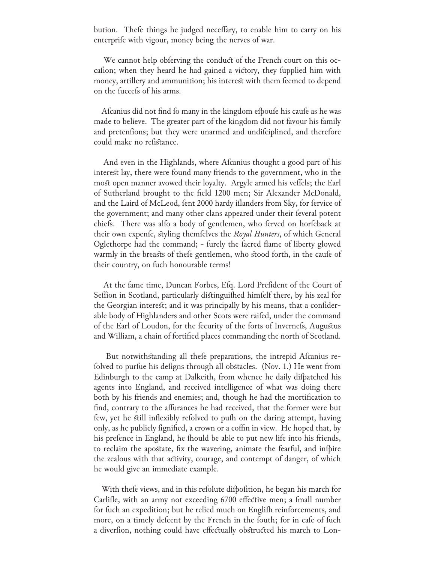bution. Thefe things he judged neceffary, to enable him to carry on his enterprife with vigour, money being the nerves of war.

We cannot help obferving the conduct of the French court on this occafion; when they heard he had gained a victory, they fupplied him with money, artillery and ammunition; his interest with them feemed to depend on the fuccefs of his arms.

Afcanius did not find fo many in the kingdom efpoufe his caufe as he was made to believe. The greater part of the kingdom did not favour his family and pretenfions; but they were unarmed and undifciplined, and therefore could make no refistance.

And even in the Highlands, where Afcanius thought a good part of his interest lay, there were found many friends to the government, who in the most open manner avowed their loyalty. Argyle armed his veffels; the Earl of Sutherland brought to the field 1200 men; Sir Alexander McDonald, and the Laird of McLeod, fent 2000 hardy iflanders from Sky, for fervice of the government; and many other clans appeared under their feveral potent chiefs. There was alfo a body of gentlemen, who ferved on horfeback at their own expenfe, styling themfelves the *Royal Hunters*, of which General Oglethorpe had the command; - furely the facred flame of liberty glowed warmly in the breasts of thefe gentlemen, who stood forth, in the caufe of their country, on fuch honourable terms!

At the fame time, Duncan Forbes, Efq. Lord Prefident of the Court of Seffion in Scotland, particularly distinguifhed himfelf there, by his zeal for the Georgian interest; and it was principally by his means, that a confiderable body of Highlanders and other Scots were raifed, under the command of the Earl of Loudon, for the fecurity of the forts of Invernefs, Augustus and William, a chain of fortified places commanding the north of Scotland.

But notwithstanding all these preparations, the intrepid Ascanius refolved to purfue his defigns through all obstacles. (Nov. 1.) He went from Edinburgh to the camp at Dalkeith, from whence he daily difpatched his agents into England, and received intelligence of what was doing there both by his friends and enemies; and, though he had the mortification to find, contrary to the affurances he had received, that the former were but few, yet he still inflexibly refolved to pufh on the daring attempt, having only, as he publicly fignified, a crown or a coffin in view. He hoped that, by his prefence in England, he fhould be able to put new life into his friends, to reclaim the apostate, fix the wavering, animate the fearful, and infpire the zealous with that activity, courage, and contempt of danger, of which he would give an immediate example.

With thefe views, and in this refolute difpofition, he began his march for Carlifle, with an army not exceeding 6700 effective men; a fmall number for fuch an expedition; but he relied much on Englifh reinforcements, and more, on a timely defcent by the French in the fouth; for in cafe of fuch a diverfion, nothing could have effectually obstructed his march to Lon-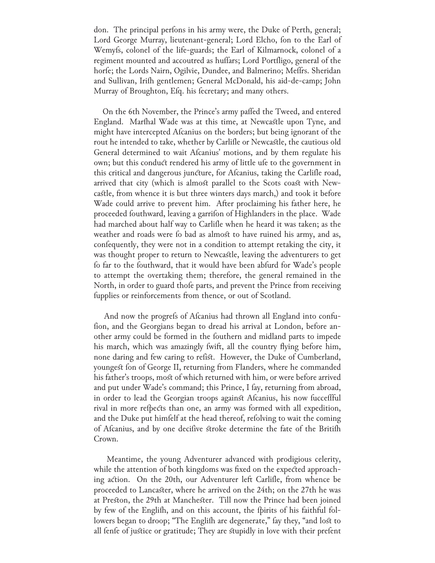don. The principal perfons in his army were, the Duke of Perth, general; Lord George Murray, lieutenant-general; Lord Elcho, fon to the Earl of Wemyfs, colonel of the life-guards; the Earl of Kilmarnock, colonel of a regiment mounted and accoutred as huffars; Lord Portfligo, general of the horfe; the Lords Nairn, Ogilvie, Dundee, and Balmerino; Meffrs. Sheridan and Sullivan, Irifh gentlemen; General McDonald, his aid-de-camp; John Murray of Broughton, Efq. his fecretary; and many others.

On the 6th November, the Prince's army paffed the Tweed, and entered England. Marthal Wade was at this time, at Newcastle upon Tyne, and might have intercepted Afcanius on the borders; but being ignorant of the rout he intended to take, whether by Carlifle or Newcastle, the cautious old General determined to wait Afcanius' motions, and by them regulate his own; but this conduct rendered his army of little ufe to the government in this critical and dangerous juncture, for Afcanius, taking the Carlifle road, arrived that city (which is almost parallel to the Scots coast with Newcastle, from whence it is but three winters days march,) and took it before Wade could arrive to prevent him. After proclaiming his father here, he proceeded fouthward, leaving a garrifon of Highlanders in the place. Wade had marched about half way to Carlifle when he heard it was taken; as the weather and roads were fo bad as almost to have ruined his army, and as, confequently, they were not in a condition to attempt retaking the city, it was thought proper to return to Newcastle, leaving the adventurers to get fo far to the fouthward, that it would have been abfurd for Wade's people to attempt the overtaking them; therefore, the general remained in the North, in order to guard thofe parts, and prevent the Prince from receiving fupplies or reinforcements from thence, or out of Scotland.

And now the progrefs of Afcanius had thrown all England into confufion, and the Georgians began to dread his arrival at London, before another army could be formed in the fouthern and midland parts to impede his march, which was amazingly fwift, all the country flying before him, none daring and few caring to refist. However, the Duke of Cumberland, youngest fon of George II, returning from Flanders, where he commanded his father's troops, most of which returned with him, or were before arrived and put under Wade's command; this Prince, I fay, returning from abroad, in order to lead the Georgian troops against Afcanius, his now fucceffful rival in more refpects than one, an army was formed with all expedition, and the Duke put himfelf at the head thereof, refolving to wait the coming of Afcanius, and by one decifive stroke determine the fate of the Britifh Crown.

 Meantime, the young Adventurer advanced with prodigious celerity, while the attention of both kingdoms was fixed on the expected approaching action. On the 20th, our Adventurer left Carlifle, from whence be proceeded to Lancaster, where he arrived on the 24th; on the 27th he was at Preston, the 29th at Manchester. Till now the Prince had been joined by few of the Englifh, and on this account, the fpirits of his faithful followers began to droop; "The Englifh are degenerate," fay they, "and lost to all fenfe of justice or gratitude; They are stupidly in love with their prefent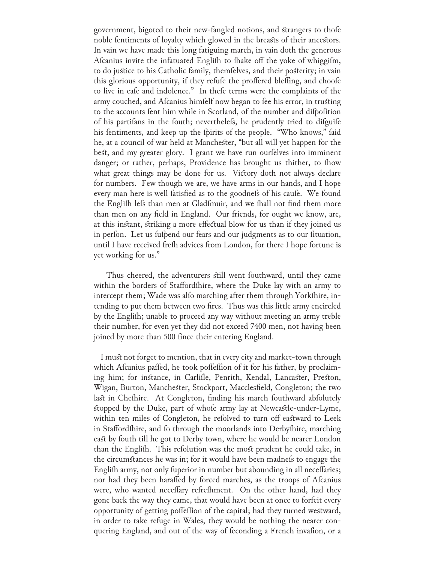government, bigoted to their new-fangled notions, and strangers to thofe noble fentiments of loyalty which glowed in the breasts of their ancestors. In vain we have made this long fatiguing march, in vain doth the generous Afcanius invite the infatuated Englifh to fhake off the yoke of whiggifm, to do justice to his Catholic family, themfelves, and their posterity; in vain this glorious opportunity, if they refule the proffered bleffing, and choofe to live in eafe and indolence." In thefe terms were the complaints of the army couched, and Afcanius himfelf now began to fee his error, in trusting to the accounts fent him while in Scotland, of the number and difpofition of his partifans in the fouth; neverthelefs, he prudently tried to difguife his fentiments, and keep up the fpirits of the people. "Who knows," faid he, at a council of war held at Manchester, "but all will yet happen for the best, and my greater glory. I grant we have run ourfelves into imminent danger; or rather, perhaps, Providence has brought us thither, to fhow what great things may be done for us. Victory doth not always declare for numbers. Few though we are, we have arms in our hands, and I hope every man here is well fatisfied as to the goodnefs of his caufe. We found the Englifh lefs than men at Gladfmuir, and we fhall not find them more than men on any field in England. Our friends, for ought we know, are, at this instant, striking a more effectual blow for us than if they joined us in perfon. Let us fufpend our fears and our judgments as to our fituation, until I have received frefh advices from London, for there I hope fortune is yet working for us."

Thus cheered, the adventurers still went fouthward, until they came within the borders of Staffordshire, where the Duke lay with an army to intercept them; Wade was alfo marching after them through Yorkfhire, intending to put them between two fires. Thus was this little army encircled by the Englifh; unable to proceed any way without meeting an army treble their number, for even yet they did not exceed 7400 men, not having been joined by more than 500 fince their entering England.

 I must not forget to mention, that in every city and market-town through which Afcanius paffed, he took poffeffion of it for his father, by proclaiming him; for instance, in Carlifle, Penrith, Kendal, Lancaster, Preston, Wigan, Burton, Manchester, Stockport, Macclesfield, Congleton; the two last in Chefhire. At Congleton, finding his march fouthward abfolutely stopped by the Duke, part of whofe army lay at Newcastle-under-Lyme, within ten miles of Congleton, he refolved to turn off eastward to Leek in Stafford thire, and fo through the moorlands into Derby thire, marching east by fouth till he got to Derby town, where he would be nearer London than the Englifh. This refolution was the most prudent he could take, in the circumstances he was in; for it would have been madnefs to engage the Englifh army, not only fuperior in number but abounding in all neceffaries; nor had they been haraffed by forced marches, as the troops of Afcanius were, who wanted neceffary refrefhment. On the other hand, had they gone back the way they came, that would have been at once to forfeit every opportunity of getting poffeffion of the capital; had they turned westward, in order to take refuge in Wales, they would be nothing the nearer conquering England, and out of the way of feconding a French invafion, or a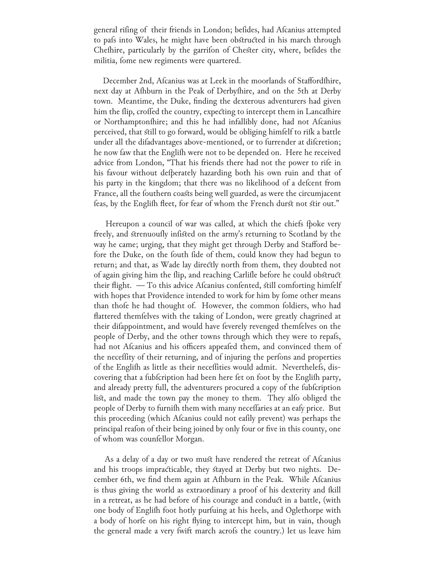general rifing of their friends in London; befides, had Afcanius attempted to pafs into Wales, he might have been obstructed in his march through Chefhire, particularly by the garrifon of Chester city, where, befides the militia, fome new regiments were quartered.

December 2nd, Afcanius was at Leek in the moorlands of Staffordshire, next day at Afhburn in the Peak of Derbyfhire, and on the 5th at Derby town. Meantime, the Duke, finding the dexterous adventurers had given him the flip, croffed the country, expecting to intercept them in Lancafhire or Northamptonfhire; and this he had infallibly done, had not Afcanius perceived, that still to go forward, would be obliging himfelf to rifk a battle under all the difadvantages above-mentioned, or to furrender at difcretion; he now faw that the Englifh were not to be depended on. Here he received advice from London, "That his friends there had not the power to rife in his favour without defperately hazarding both his own ruin and that of his party in the kingdom; that there was no likelihood of a defcent from France, all the fouthern coasts being well guarded, as were the circumjacent feas, by the Englifh fleet, for fear of whom the French durst not stir out."

Hereupon a council of war was called, at which the chiefs flocke very freely, and strenuoufly infisted on the army's returning to Scotland by the way he came; urging, that they might get through Derby and Stafford before the Duke, on the fouth fide of them, could know they had begun to return; and that, as Wade lay directly north from them, they doubted not of again giving him the flip, and reaching Carlifle before he could obstruct their flight.  $-$  To this advice Afcanius confented, still comforting himfelf with hopes that Providence intended to work for him by fome other means than thofe he had thought of. However, the common foldiers, who had flattered themfelves with the taking of London, were greatly chagrined at their difappointment, and would have feverely revenged themfelves on the people of Derby, and the other towns through which they were to repafs, had not Afcanius and his officers appeafed them, and convinced them of the neceffity of their returning, and of injuring the perfons and properties of the Englifh as little as their neceffities would admit. Neverthelefs, discovering that a fubfcription had been here fet on foot by the Englifh party, and already pretty full, the adventurers procured a copy of the fubfcription list, and made the town pay the money to them. They alfo obliged the people of Derby to furnifh them with many neceffaries at an eafy price. But this proceeding (which Afcanius could not eafily prevent) was perhaps the principal reafon of their being joined by only four or five in this county, one of whom was counfellor Morgan.

As a delay of a day or two must have rendered the retreat of Afcanius and his troops impracticable, they stayed at Derby but two nights. December 6th, we find them again at Afhburn in the Peak. While Afcanius is thus giving the world as extraordinary a proof of his dexterity and fkill in a retreat, as he had before of his courage and conduct in a battle, (with one body of Englifh foot hotly purfuing at his heels, and Oglethorpe with a body of horfe on his right flying to intercept him, but in vain, though the general made a very fwift march acrofs the country.) let us leave him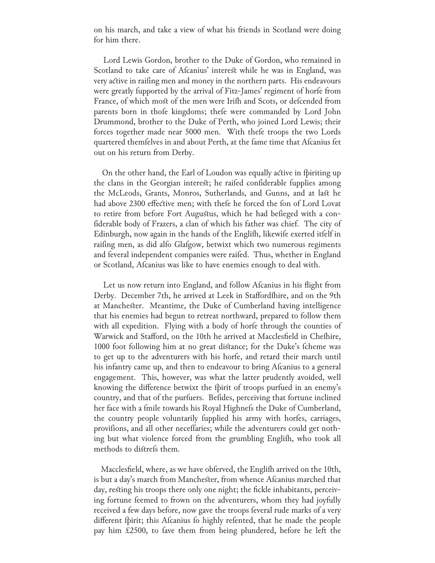on his march, and take a view of what his friends in Scotland were doing for him there.

 Lord Lewis Gordon, brother to the Duke of Gordon, who remained in Scotland to take care of Afcanius' interest while he was in England, was very active in raifing men and money in the northern parts. His endeavours were greatly fupported by the arrival of Fitz-James' regiment of horfe from France, of which most of the men were Irifh and Scots, or defcended from parents born in thofe kingdoms; thefe were commanded by Lord John Drummond, brother to the Duke of Perth, who joined Lord Lewis; their forces together made near 5000 men. With thefe troops the two Lords quartered themfelves in and about Perth, at the fame time that Afcanius fet out on his return from Derby.

On the other hand, the Earl of Loudon was equally active in fpiriting up the clans in the Georgian interest; he raifed confiderable fupplies among the McLeods, Grants, Monros, Sutherlands, and Gunns, and at last he had above 2300 effective men; with thefe he forced the fon of Lord Lovat to retire from before Fort Augustus, which he had befieged with a confiderable body of Frazers, a clan of which his father was chief. The city of Edinburgh, now again in the hands of the Englifh, likewife exerted itfelf in raifing men, as did alfo Glafgow, betwixt which two numerous regiments and feveral independent companies were raifed. Thus, whether in England or Scotland, Afcanius was like to have enemies enough to deal with.

Let us now return into England, and follow Afcanius in his flight from Derby. December 7th, he arrived at Leek in Stafford thire, and on the 9th at Manchester. Meantime, the Duke of Cumberland having intelligence that his enemies had begun to retreat northward, prepared to follow them with all expedition. Flying with a body of horfe through the counties of Warwick and Stafford, on the 10th he arrived at Macclesfield in Chefhire, 1000 foot following him at no great distance; for the Duke's fcheme was to get up to the adventurers with his horfe, and retard their march until his infantry came up, and then to endeavour to bring Afcanius to a general engagement. This, however, was what the latter prudently avoided, well knowing the difference betwixt the fpirit of troops purfued in an enemy's country, and that of the purfuers. Befides, perceiving that fortune inclined her face with a fmile towards his Royal Highnefs the Duke of Cumberland, the country people voluntarily fupplied his army with horfes, carriages, provifions, and all other neceffaries; while the adventurers could get nothing but what violence forced from the grumbling Englifh, who took all methods to distrefs them.

Macclesfield, where, as we have obferved, the Englifh arrived on the 10th, is but a day's march from Manchester, from whence Afcanius marched that day, resting his troops there only one night; the fickle inhabitants, perceiving fortune feemed to frown on the adventurers, whom they had joyfully received a few days before, now gave the troops feveral rude marks of a very different fpirit; this Afcanius fo highly refented, that he made the people pay him £2500, to fave them from being plundered, before he left the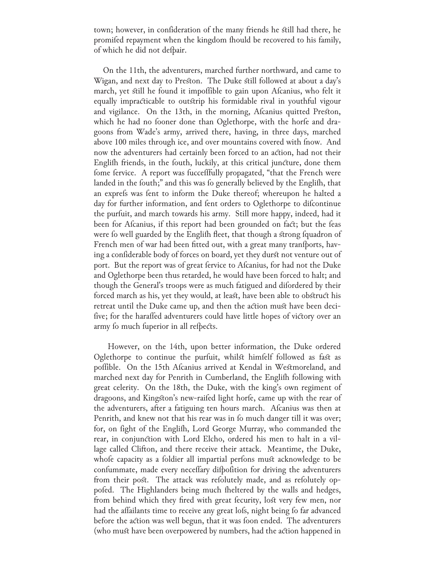town; however, in confideration of the many friends he still had there, he promifed repayment when the kingdom fhould be recovered to his family, of which he did not defpair.

 On the 11th, the adventurers, marched further northward, and came to Wigan, and next day to Preston. The Duke still followed at about a day's march, yet still he found it impoffible to gain upon Afcanius, who felt it equally impracticable to outstrip his formidable rival in youthful vigour and vigilance. On the 13th, in the morning, Afcanius quitted Preston, which he had no fooner done than Oglethorpe, with the horfe and dragoons from Wade's army, arrived there, having, in three days, marched above 100 miles through ice, and over mountains covered with fnow. And now the adventurers had certainly been forced to an action, had not their Englifh friends, in the fouth, luckily, at this critical juncture, done them fome fervice. A report was fuccefffully propagated, "that the French were landed in the fouth;" and this was fo generally believed by the Englifh, that an exprefs was fent to inform the Duke thereof; whereupon he halted a day for further information, and fent orders to Oglethorpe to difcontinue the purfuit, and march towards his army. Still more happy, indeed, had it been for Afcanius, if this report had been grounded on fact; but the feas were fo well guarded by the Englifh fleet, that though a strong fquadron of French men of war had been fitted out, with a great many tranfports, having a confiderable body of forces on board, yet they durst not venture out of port. But the report was of great fervice to Afcanius, for had not the Duke and Oglethorpe been thus retarded, he would have been forced to halt; and though the General's troops were as much fatigued and difordered by their forced march as his, yet they would, at least, have been able to obstruct his retreat until the Duke came up, and then the action must have been decifive; for the haraffed adventurers could have little hopes of victory over an army fo much fuperior in all refpects.

 However, on the 14th, upon better information, the Duke ordered Oglethorpe to continue the purfuit, whilst himfelf followed as fast as poffible. On the 15th Afcanius arrived at Kendal in Westmoreland, and marched next day for Penrith in Cumberland, the Englifh following with great celerity. On the 18th, the Duke, with the king's own regiment of dragoons, and Kingston's new-raifed light horfe, came up with the rear of the adventurers, after a fatiguing ten hours march. Afcanius was then at Penrith, and knew not that his rear was in fo much danger till it was over; for, on fight of the Englifh, Lord George Murray, who commanded the rear, in conjunction with Lord Elcho, ordered his men to halt in a village called Clifton, and there receive their attack. Meantime, the Duke, whofe capacity as a foldier all impartial perfons must acknowledge to be confummate, made every neceffary difpofition for driving the adventurers from their post. The attack was refolutely made, and as refolutely oppofed. The Highlanders being much fheltered by the walls and hedges, from behind which they fired with great fecurity, lost very few men, nor had the affailants time to receive any great lofs, night being fo far advanced before the action was well begun, that it was foon ended. The adventurers (who must have been overpowered by numbers, had the action happened in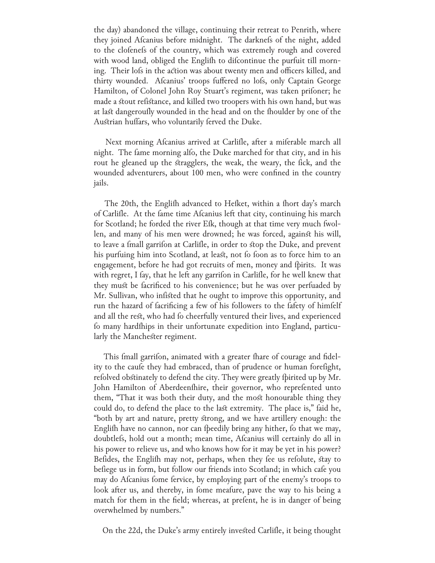the day) abandoned the village, continuing their retreat to Penrith, where they joined Afcanius before midnight. The darknefs of the night, added to the clofenefs of the country, which was extremely rough and covered with wood land, obliged the Englifh to difcontinue the purfuit till morning. Their lofs in the action was about twenty men and officers killed, and thirty wounded. Afcanius' troops fuffered no lofs, only Captain George Hamilton, of Colonel John Roy Stuart's regiment, was taken prifoner; he made a stout refistance, and killed two troopers with his own hand, but was at last dangeroufly wounded in the head and on the fhoulder by one of the Austrian huffars, who voluntarily ferved the Duke.

Next morning Afcanius arrived at Carlifle, after a miferable march all night. The fame morning alfo, the Duke marched for that city, and in his rout he gleaned up the stragglers, the weak, the weary, the fick, and the wounded adventurers, about 100 men, who were confined in the country jails.

The 20th, the Englifh advanced to Hefket, within a fhort day's march of Carlifle. At the fame time Afcanius left that city, continuing his march for Scotland; he forded the river Efk, though at that time very much fwollen, and many of his men were drowned; he was forced, against his will, to leave a fmall garrifon at Carlifle, in order to stop the Duke, and prevent his purfuing him into Scotland, at least, not fo foon as to force him to an engagement, before he had got recruits of men, money and fpirits. It was with regret, I fay, that he left any garrifon in Carlifle, for he well knew that they must be facrificed to his convenience; but he was over perfuaded by Mr. Sullivan, who infisted that he ought to improve this opportunity, and run the hazard of facrificing a few of his followers to the fafety of himfelf and all the rest, who had fo cheerfully ventured their lives, and experienced fo many hardships in their unfortunate expedition into England, particularly the Manchester regiment.

This fmall garrifon, animated with a greater fhare of courage and fidelity to the caufe they had embraced, than of prudence or human forefight, refolved obstinately to defend the city. They were greatly fpirited up by Mr. John Hamilton of Aberdeenfhire, their governor, who reprefented unto them, "That it was both their duty, and the most honourable thing they could do, to defend the place to the last extremity. The place is," faid he, "both by art and nature, pretty strong, and we have artillery enough: the Englifh have no cannon, nor can fpeedily bring any hither, fo that we may, doubtlefs, hold out a month; mean time, Afcanius will certainly do all in his power to relieve us, and who knows how for it may be yet in his power? Befides, the Englifh may not, perhaps, when they fee us refolute, stay to befiege us in form, but follow our friends into Scotland; in which cafe you may do Afcanius fome fervice, by employing part of the enemy's troops to look after us, and thereby, in fome meafure, pave the way to his being a match for them in the field; whereas, at prefent, he is in danger of being overwhelmed by numbers."

On the 22d, the Duke's army entirely invested Carlifle, it being thought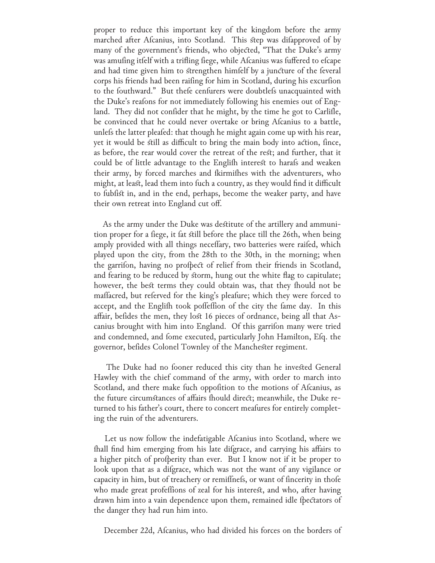proper to reduce this important key of the kingdom before the army marched after Afcanius, into Scotland. This step was difapproved of by many of the government's friends, who objected, "That the Duke's army was amufing itfelf with a trifling fiege, while Afcanius was fuffered to efcape and had time given him to strengthen himfelf by a juncture of the feveral corps his friends had been raifing for him in Scotland, during his excurfion to the fouthward." But thefe cenfurers were doubtlefs unacquainted with the Duke's reafons for not immediately following his enemies out of England. They did not confider that he might, by the time he got to Carlifle, be convinced that he could never overtake or bring Afcanius to a battle, unlefs the latter pleafed: that though he might again come up with his rear, yet it would be still as difficult to bring the main body into action, fince, as before, the rear would cover the retreat of the rest; and further, that it could be of little advantage to the Englifh interest to harafs and weaken their army, by forced marches and fkirmifhes with the adventurers, who might, at least, lead them into fuch a country, as they would find it difficult to fubfist in, and in the end, perhaps, become the weaker party, and have their own retreat into England cut off.

 As the army under the Duke was destitute of the artillery and ammunition proper for a fiege, it fat still before the place till the 26th, when being amply provided with all things neceffary, two batteries were raifed, which played upon the city, from the 28th to the 30th, in the morning; when the garrifon, having no profpect of relief from their friends in Scotland, and fearing to be reduced by storm, hung out the white flag to capitulate; however, the best terms they could obtain was, that they fhould not be mallacred, but referved for the king's pleafure; which they were forced to accept, and the Englifh took poffeffion of the city the fame day. In this affair, befides the men, they lost 16 pieces of ordnance, being all that Ascanius brought with him into England. Of this garrifon many were tried and condemned, and fome executed, particularly John Hamilton, Efq. the governor, befides Colonel Townley of the Manchester regiment.

The Duke had no fooner reduced this city than he invested General Hawley with the chief command of the army, with order to march into Scotland, and there make fuch oppofition to the motions of Afcanius, as the future circumstances of affairs fhould direct; meanwhile, the Duke returned to his father's court, there to concert meafures for entirely completing the ruin of the adventurers.

Let us now follow the indefatigable Afcanius into Scotland, where we fhall find him emerging from his late difgrace, and carrying his affairs to a higher pitch of profperity than ever. But I know not if it be proper to look upon that as a difgrace, which was not the want of any vigilance or capacity in him, but of treachery or remiffnefs, or want of fincerity in thofe who made great profeffions of zeal for his interest, and who, after having drawn him into a vain dependence upon them, remained idle fpectators of the danger they had run him into.

December 22d, Afcanius, who had divided his forces on the borders of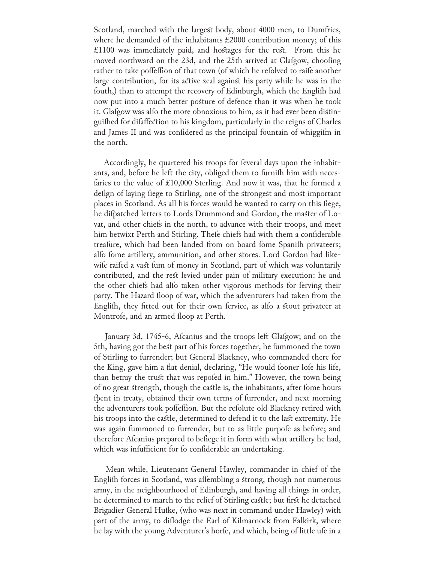Scotland, marched with the largest body, about 4000 men, to Dumfries, where he demanded of the inhabitants £2000 contribution money; of this £1100 was immediately paid, and hostages for the rest. From this he moved northward on the 23d, and the 25th arrived at Glafgow, choofing rather to take poffeffion of that town (of which he refolved to raife another large contribution, for its active zeal against his party while he was in the fouth,) than to attempt the recovery of Edinburgh, which the English had now put into a much better posture of defence than it was when he took it. Glafgow was alfo the more obnoxious to him, as it had ever been distinguifhed for difaffection to his kingdom, particularly in the reigns of Charles and James II and was confidered as the principal fountain of whiggifm in the north.

Accordingly, he quartered his troops for feveral days upon the inhabitants, and, before he left the city, obliged them to furnifh him with necesfaries to the value of £10,000 Sterling. And now it was, that he formed a defign of laying fiege to Stirling, one of the strongest and most important places in Scotland. As all his forces would be wanted to carry on this fiege, he difpatched letters to Lords Drummond and Gordon, the master of Lovat, and other chiefs in the north, to advance with their troops, and meet him betwixt Perth and Stirling. Thefe chiefs had with them a confiderable treafure, which had been landed from on board fome Spanifh privateers; alfo fome artillery, ammunition, and other stores. Lord Gordon had likewife raifed a vast fum of money in Scotland, part of which was voluntarily contributed, and the rest levied under pain of military execution: he and the other chiefs had alfo taken other vigorous methods for ferving their party. The Hazard floop of war, which the adventurers had taken from the Englifh, they fitted out for their own fervice, as alfo a stout privateer at Montrofe, and an armed floop at Perth.

January 3d, 1745-6, Afcanius and the troops left Glafgow; and on the 5th, having got the best part of his forces together, he fummoned the town of Stirling to furrender; but General Blackney, who commanded there for the King, gave him a flat denial, declaring, "He would fooner lofe his life, than betray the trust that was repofed in him." However, the town being of no great strength, though the castle is, the inhabitants, after fome hours fpent in treaty, obtained their own terms of furrender, and next morning the adventurers took poffeffion. But the refolute old Blackney retired with his troops into the castle, determined to defend it to the last extremity. He was again fummoned to furrender, but to as little purpofe as before; and therefore Afcanius prepared to befiege it in form with what artillery he had, which was infufficient for fo confiderable an undertaking.

 Mean while, Lieutenant General Hawley, commander in chief of the Englifh forces in Scotland, was affembling a strong, though not numerous army, in the neighbourhood of Edinburgh, and having all things in order, he determined to march to the relief of Stirling castle; but first he detached Brigadier General Huſke, (who was next in command under Hawley) with part of the army, to diflodge the Earl of Kilmarnock from Falkirk, where he lay with the young Adventurer's horfe, and which, being of little ufe in a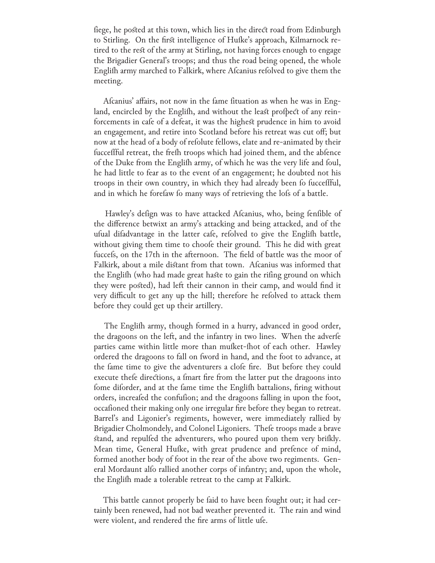fiege, he posted at this town, which lies in the direct road from Edinburgh to Stirling. On the first intelligence of Hufke's approach, Kilmarnock retired to the rest of the army at Stirling, not having forces enough to engage the Brigadier General's troops; and thus the road being opened, the whole Englifh army marched to Falkirk, where Afcanius refolved to give them the meeting.

Afcanius' affairs, not now in the fame fituation as when he was in England, encircled by the Englifh, and without the least profpect of any reinforcements in cafe of a defeat, it was the highest prudence in him to avoid an engagement, and retire into Scotland before his retreat was cut off; but now at the head of a body of refolute fellows, elate and re-animated by their fucceffful retreat, the frefh troops which had joined them, and the abfence of the Duke from the Englifh army, of which he was the very life and foul, he had little to fear as to the event of an engagement; he doubted not his troops in their own country, in which they had already been fo fucceffful, and in which he forefaw fo many ways of retrieving the lofs of a battle.

Hawley's defign was to have attacked Afcanius, who, being fenfible of the difference betwixt an army's attacking and being attacked, and of the ufual difadvantage in the latter cafe, refolved to give the Englifh battle, without giving them time to choofe their ground. This he did with great fuccefs, on the 17th in the afternoon. The field of battle was the moor of Falkirk, about a mile distant from that town. Afcanius was informed that the Englifh (who had made great haste to gain the rifing ground on which they were posted), had left their cannon in their camp, and would find it very difficult to get any up the hill; therefore he refolved to attack them before they could get up their artillery.

The Englith army, though formed in a hurry, advanced in good order, the dragoons on the left, and the infantry in two lines. When the adverfe parties came within little more than mußket-fhot of each other. Hawley ordered the dragoons to fall on fword in hand, and the foot to advance, at the fame time to give the adventurers a clofe fire. But before they could execute thele directions, a fmart fire from the latter put the dragoons into fome diforder, and at the fame time the Englifh battalions, firing without orders, increafed the confufion; and the dragoons falling in upon the foot, occafioned their making only one irregular fire before they began to retreat. Barrel's and Ligonier's regiments, however, were immediately rallied by Brigadier Cholmondely, and Colonel Ligoniers. Thele troops made a brave stand, and repulfed the adventurers, who poured upon them very brifkly. Mean time, General Hufke, with great prudence and prefence of mind, formed another body of foot in the rear of the above two regiments. General Mordaunt alfo rallied another corps of infantry; and, upon the whole, the Englifh made a tolerable retreat to the camp at Falkirk.

This battle cannot properly be faid to have been fought out; it had certainly been renewed, had not bad weather prevented it. The rain and wind were violent, and rendered the fire arms of little ufe.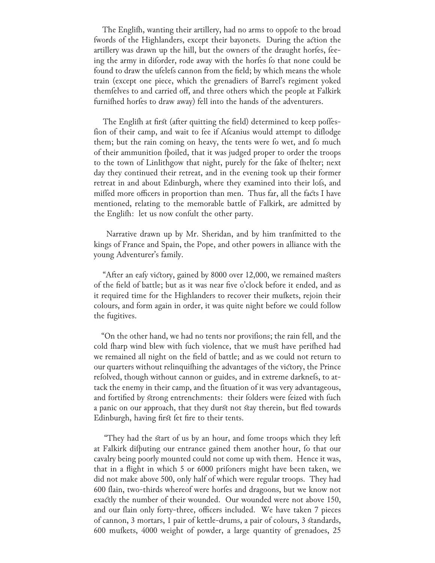The Englifh, wanting their artillery, had no arms to oppofe to the broad fwords of the Highlanders, except their bayonets. During the action the artillery was drawn up the hill, but the owners of the draught horfes, feeing the army in diforder, rode away with the horfes fo that none could be found to draw the ufelefs cannon from the field; by which means the whole train (except one piece, which the grenadiers of Barrel's regiment yoked themfelves to and carried off, and three others which the people at Falkirk furnifhed horfes to draw away) fell into the hands of the adventurers.

The English at first (after quitting the field) determined to keep poffesfion of their camp, and wait to fee if Afcanius would attempt to diflodge them; but the rain coming on heavy, the tents were fo wet, and fo much of their ammunition fpoiled, that it was judged proper to order the troops to the town of Linlithgow that night, purely for the fake of fhelter; next day they continued their retreat, and in the evening took up their former retreat in and about Edinburgh, where they examined into their lofs, and miffed more officers in proportion than men. Thus far, all the facts I have mentioned, relating to the memorable battle of Falkirk, are admitted by the Englifh: let us now confult the other party.

Narrative drawn up by Mr. Sheridan, and by him tranfmitted to the kings of France and Spain, the Pope, and other powers in alliance with the young Adventurer's family.

"After an eafy victory, gained by 8000 over 12,000, we remained masters of the field of battle; but as it was near five o'clock before it ended, and as it required time for the Highlanders to recover their mufkets, rejoin their colours, and form again in order, it was quite night before we could follow the fugitives.

"On the other hand, we had no tents nor provifions; the rain fell, and the cold tharp wind blew with fuch violence, that we must have perithed had we remained all night on the field of battle; and as we could not return to our quarters without relinquifhing the advantages of the victory, the Prince refolved, though without cannon or guides, and in extreme darknefs, to attack the enemy in their camp, and the fituation of it was very advantageous, and fortified by strong entrenchments: their folders were feized with fuch a panic on our approach, that they durst not stay therein, but fled towards Edinburgh, having first fet fire to their tents.

"They had the start of us by an hour, and fome troops which they left at Falkirk difputing our entrance gained them another hour, fo that our cavalry being poorly mounted could not come up with them. Hence it was, that in a flight in which 5 or 6000 prifoners might have been taken, we did not make above 500, only half of which were regular troops. They had 600 flain, two-thirds whereof were horfes and dragoons, but we know not exactly the number of their wounded. Our wounded were not above 150, and our flain only forty-three, officers included. We have taken 7 pieces of cannon, 3 mortars, 1 pair of kettle-drums, a pair of colours, 3 standards, 600 mufkets, 4000 weight of powder, a large quantity of grenadoes, 25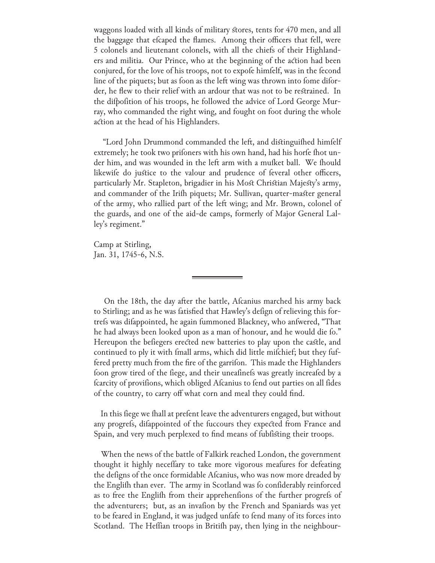waggons loaded with all kinds of military stores, tents for 470 men, and all the baggage that efcaped the flames. Among their officers that fell, were 5 colonels and lieutenant colonels, with all the chiefs of their Highlanders and militia. Our Prince, who at the beginning of the action had been conjured, for the love of his troops, not to expofe himfelf, was in the fecond line of the piquets; but as foon as the left wing was thrown into fome diforder, he flew to their relief with an ardour that was not to be restrained. In the difpofition of his troops, he followed the advice of Lord George Murray, who commanded the right wing, and fought on foot during the whole action at the head of his Highlanders.

"Lord John Drummond commanded the left, and distinguifhed himfelf extremely; he took two prifoners with his own hand, had his horfe fhot under him, and was wounded in the left arm with a mußket ball. We fhould likewife do justice to the valour and prudence of feveral other officers, particularly Mr. Stapleton, brigadier in his Most Christian Majesty's army, and commander of the Irifh piquets; Mr. Sullivan, quarter-master general of the army, who rallied part of the left wing; and Mr. Brown, colonel of the guards, and one of the aid-de camps, formerly of Major General Lalley's regiment."

Camp at Stirling, Jan. 31, 1745-6, N.S.

On the 18th, the day after the battle, Afcanius marched his army back to Stirling; and as he was fatisfied that Hawley's defign of relieving this fortrefs was difappointed, he again fummoned Blackney, who anfwered, "That he had always been looked upon as a man of honour, and he would die fo." Hereupon the beliegers erected new batteries to play upon the castle, and continued to ply it with fmall arms, which did little mifchief; but they fuffered pretty much from the fire of the garrifon. This made the Highlanders foon grow tired of the fiege, and their uneafinefs was greatly increafed by a fcarcity of provifions, which obliged Afcanius to fend out parties on all fides of the country, to carry off what corn and meal they could find.

In this fiege we fhall at prefent leave the adventurers engaged, but without any progrefs, difappointed of the fuccours they expected from France and Spain, and very much perplexed to find means of fubfisting their troops.

 When the news of the battle of Falkirk reached London, the government thought it highly neceffary to take more vigorous meafures for defeating the defigns of the once formidable Afcanius, who was now more dreaded by the Englifh than ever. The army in Scotland was fo confiderably reinforced as to free the Englifh from their apprehenfions of the further progrefs of the adventurers; but, as an invafion by the French and Spaniards was yet to be feared in England, it was judged unfafe to fend many of its forces into Scotland. The Heffian troops in Britifh pay, then lying in the neighbour-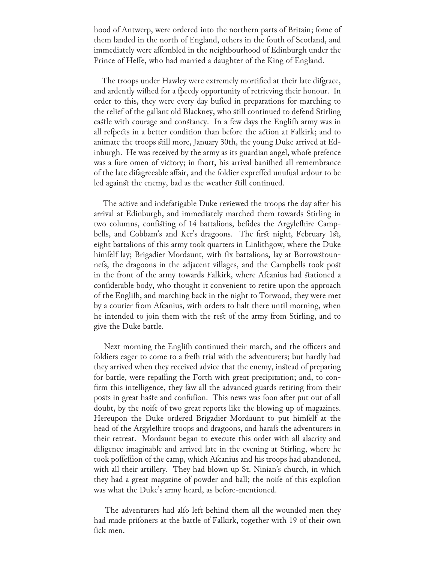hood of Antwerp, were ordered into the northern parts of Britain; fome of them landed in the north of England, others in the fouth of Scotland, and immediately were affembled in the neighbourhood of Edinburgh under the Prince of Heffe, who had married a daughter of the King of England.

The troops under Hawley were extremely mortified at their late difgrace, and ardently wifhed for a fpeedy opportunity of retrieving their honour. In order to this, they were every day bufied in preparations for marching to the relief of the gallant old Blackney, who still continued to defend Stirling castle with courage and constancy. In a few days the Englifh army was in all refpects in a better condition than before the action at Falkirk; and to animate the troops still more, January 30th, the young Duke arrived at Edinburgh. He was received by the army as its guardian angel, whofe prefence was a fure omen of victory; in fhort, his arrival banifhed all remembrance of the late difagreeable affair, and the foldier expreffed unufual ardour to be led against the enemy, bad as the weather still continued.

 The active and indefatigable Duke reviewed the troops the day after his arrival at Edinburgh, and immediately marched them towards Stirling in two columns, confisting of 14 battalions, befides the Argylefhire Campbells, and Cobbam's and Ker's dragoons. The first night, February 1st, eight battalions of this army took quarters in Linlithgow, where the Duke himfelf lay; Brigadier Mordaunt, with fix battalions, lay at Borrowstounnefs, the dragoons in the adjacent villages, and the Campbells took post in the front of the army towards Falkirk, where Afcanius had stationed a confiderable body, who thought it convenient to retire upon the approach of the Englifh, and marching back in the night to Torwood, they were met by a courier from Afcanius, with orders to halt there until morning, when he intended to join them with the rest of the army from Stirling, and to give the Duke battle.

Next morning the Englifh continued their march, and the officers and foldiers eager to come to a frefh trial with the adventurers; but hardly had they arrived when they received advice that the enemy, instead of preparing for battle, were repaffing the Forth with great precipitation; and, to confirm this intelligence, they faw all the advanced guards retiring from their posts in great haste and confufion. This news was foon after put out of all doubt, by the noife of two great reports like the blowing up of magazines. Hereupon the Duke ordered Brigadier Mordaunt to put himfelf at the head of the Argyleshire troops and dragoons, and harafs the adventurers in their retreat. Mordaunt began to execute this order with all alacrity and diligence imaginable and arrived late in the evening at Stirling, where he took poffeffion of the camp, which Afcanius and his troops had abandoned, with all their artillery. They had blown up St. Ninian's church, in which they had a great magazine of powder and ball; the noife of this explofion was what the Duke's army heard, as before-mentioned.

The adventurers had alfo left behind them all the wounded men they had made prifoners at the battle of Falkirk, together with 19 of their own fick men.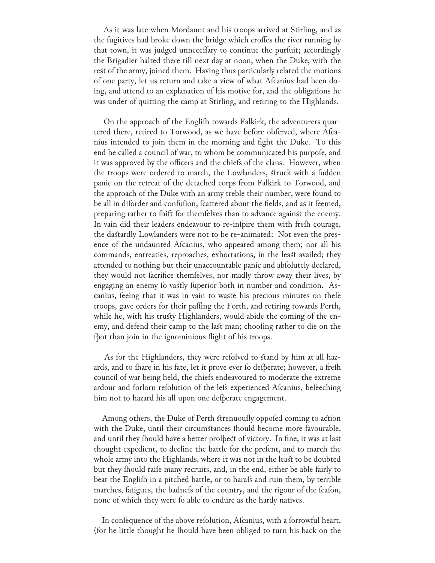As it was late when Mordaunt and his troops arrived at Stirling, and as the fugitives had broke down the bridge which croffes the river running by that town, it was judged unneceffary to continue the purfuit; accordingly the Brigadier halted there till next day at noon, when the Duke, with the rest of the army, joined them. Having thus particularly related the motions of one party, let us return and take a view of what Afcanius had been doing, and attend to an explanation of his motive for, and the obligations he was under of quitting the camp at Stirling, and retiring to the Highlands.

On the approach of the Englifh towards Falkirk, the adventurers quartered there, retired to Torwood, as we have before obferved, where Afcanius intended to join them in the morning and fight the Duke. To this end he called a council of war, to whom be communicated his purpofe, and it was approved by the officers and the chiefs of the clans. However, when the troops were ordered to march, the Lowlanders, struck with a fudden panic on the retreat of the detached corps from Falkirk to Torwood, and the approach of the Duke with an army treble their number, were found to be all in diforder and confufion, fcattered about the fields, and as it feemed, preparing rather to fhift for themfelves than to advance against the enemy. In vain did their leaders endeavour to re-infpire them with fresh courage, the dastardly Lowlanders were not to be re-animated: Not even the presence of the undaunted Afcanius, who appeared among them; nor all his commands, entreaties, reproaches, exhortations, in the least availed; they attended to nothing but their unaccountable panic and abfolutely declared, they would not facrifice themfelves, nor madly throw away their lives, by engaging an enemy fo vastly fuperior both in number and condition. Ascanius, feeing that it was in vain to waste his precious minutes on thefe troops, gave orders for their paffing the Forth, and retiring towards Perth, while he, with his trusty Highlanders, would abide the coming of the enemy, and defend their camp to the last man; choofing rather to die on the fpot than join in the ignominious flight of his troops.

As for the Highlanders, they were refolved to stand by him at all hazards, and to fhare in his fate, let it prove ever fo defperate; however, a frefh council of war being held, the chiefs endeavoured to moderate the extreme ardour and forlorn refolution of the lefs experienced Afcanius, befeeching him not to hazard his all upon one defperate engagement.

Among others, the Duke of Perth strenuously oppofed coming to action with the Duke, until their circumstances fhould become more favourable, and until they fhould have a better profpect of victory. In fine, it was at last thought expedient, to decline the battle for the prefent, and to march the whole army into the Highlands, where it was not in the least to be doubted but they fhould raife many recruits, and, in the end, either be able fairly to beat the Englifh in a pitched battle, or to harafs and ruin them, by terrible marches, fatigues, the badnefs of the country, and the rigour of the feafon, none of which they were fo able to endure as the hardy natives.

In confequence of the above refolution, Afcanius, with a forrowful heart, (for he little thought he fhould have been obliged to turn his back on the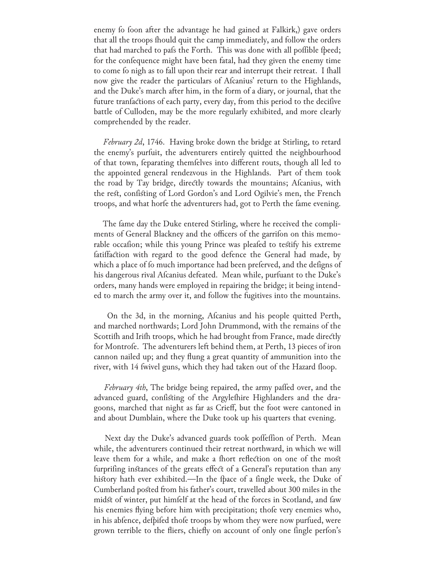enemy fo foon after the advantage he had gained at Falkirk,) gave orders that all the troops fhould quit the camp immediately, and follow the orders that had marched to pafs the Forth. This was done with all poffible fpeed; for the confequence might have been fatal, had they given the enemy time to come fo nigh as to fall upon their rear and interrupt their retreat. I fhall now give the reader the particulars of Afcanius' return to the Highlands, and the Duke's march after him, in the form of a diary, or journal, that the future tranfactions of each party, every day, from this period to the decifive battle of Culloden, may be the more regularly exhibited, and more clearly comprehended by the reader.

 *February 2d*, 1746. Having broke down the bridge at Stirling, to retard the enemy's purfuit, the adventurers entirely quitted the neighbourhood of that town, feparating themfelves into different routs, though all led to the appointed general rendezvous in the Highlands. Part of them took the road by Tay bridge, directly towards the mountains; Afcanius, with the rest, confisting of Lord Gordon's and Lord Ogilvie's men, the French troops, and what horfe the adventurers had, got to Perth the fame evening.

The fame day the Duke entered Stirling, where he received the compliments of General Blackney and the officers of the garrifon on this memorable occafion; while this young Prince was pleafed to testify his extreme fatiffaction with regard to the good defence the General had made, by which a place of fo much importance had been preferved, and the defigns of his dangerous rival Afcanius defeated. Mean while, purfuant to the Duke's orders, many hands were employed in repairing the bridge; it being intended to march the army over it, and follow the fugitives into the mountains.

On the 3d, in the morning, Afcanius and his people quitted Perth, and marched northwards; Lord John Drummond, with the remains of the Scottifh and Irifh troops, which he had brought from France, made directly for Montrofe. The adventurers left behind them, at Perth, 13 pieces of iron cannon nailed up; and they flung a great quantity of ammunition into the river, with 14 fwivel guns, which they had taken out of the Hazard floop.

*February 4th*, The bridge being repaired, the army paffed over, and the advanced guard, confisting of the Argylefhire Highlanders and the dragoons, marched that night as far as Crieff, but the foot were cantoned in and about Dumblain, where the Duke took up his quarters that evening.

Next day the Duke's advanced guards took poffeffion of Perth. Mean while, the adventurers continued their retreat northward, in which we will leave them for a while, and make a fhort reflection on one of the most furprifing instances of the greats effect of a General's reputation than any history hath ever exhibited.—In the fpace of a fingle week, the Duke of Cumberland posted from his father's court, travelled about 300 miles in the midst of winter, put himfelf at the head of the forces in Scotland, and faw his enemies flying before him with precipitation; thofe very enemies who, in his abfence, defpifed thofe troops by whom they were now purfued, were grown terrible to the fliers, chiefly on account of only one fingle perfon's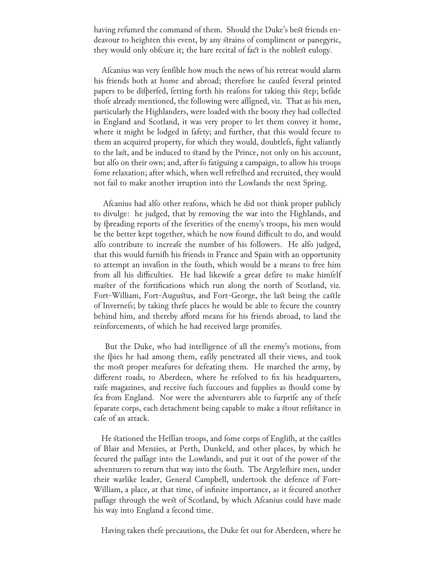having refumed the command of them. Should the Duke's best friends endeavour to heighten this event, by any strains of compliment or panegyric, they would only obfcure it; the bare recital of fact is the noblest eulogy.

Afcanius was very fenfible how much the news of his retreat would alarm his friends both at home and abroad; therefore he caufed feveral printed papers to be difperfed, fetting forth his reafons for taking this step; befide thofe already mentioned, the following were affigned, viz. That as his men, particularly the Highlanders, were loaded with the booty they had collected in England and Scotland, it was very proper to let them convey it home, where it might be lodged in fafety; and further, that this would fecure to them an acquired property, for which they would, doubtlefs, fight valiantly to the last, and be induced to stand by the Prince, not only on his account, but alfo on their own; and, after fo fatiguing a campaign, to allow his troops fome relaxation; after which, when well refrefhed and recruited, they would not fail to make another irruption into the Lowlands the next Spring.

Alcanius had allo other realons, which he did not think proper publicly to divulge: he judged, that by removing the war into the Highlands, and by fpreading reports of the feverities of the enemy's troops, his men would be the better kept together, which he now found difficult to do, and would alfo contribute to increafe the number of his followers. He alfo judged, that this would furnifh his friends in France and Spain with an opportunity to attempt an invafion in the fouth, which would be a means to free him from all his difficulties. He had likewife a great defire to make himfelf master of the fortifications which run along the north of Scotland, viz. Fort-William, Fort-Augustus, and Fort-George, the last being the castle of Invernefs; by taking thefe places he would be able to fecure the country behind him, and thereby afford means for his friends abroad, to land the reinforcements, of which he had received large promifes.

 But the Duke, who had intelligence of all the enemy's motions, from the fpies he had among them, eafily penetrated all their views, and took the most proper meafures for defeating them. He marched the army, by different roads, to Aberdeen, where he refolved to fix his headquarters, raife magazines, and receive fuch fuccours and fupplies as fhould come by fea from England. Nor were the adventurers able to furprife any of thefe feparate corps, each detachment being capable to make a stout refistance in cafe of an attack.

He stationed the Heffian troops, and fome corps of Englifh, at the castles of Blair and Menzies, at Perth, Dunkeld, and other places, by which he fecured the paffage into the Lowlands, and put it out of the power of the adventurers to return that way into the fouth. The Argylefhire men, under their warlike leader, General Campbell, undertook the defence of Fort-William, a place, at that time, of infinite importance, as it fecured another paffage through the west of Scotland, by which Afcanius could have made his way into England a fecond time.

Having taken thefe precautions, the Duke fet out for Aberdeen, where he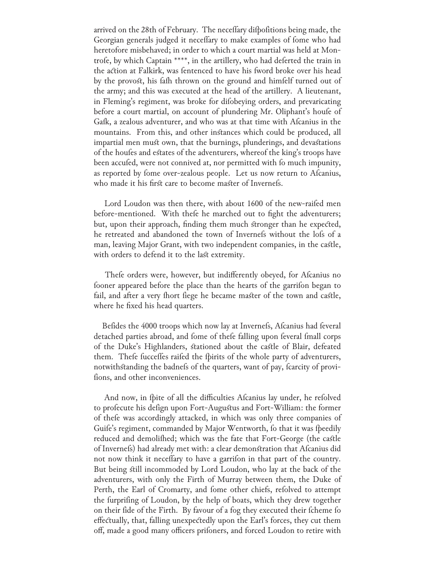arrived on the 28th of February. The neceffary difpofitions being made, the Georgian generals judged it neceffary to make examples of fome who had heretofore misbehaved; in order to which a court martial was held at Montrofe, by which Captain \*\*\*\*, in the artillery, who had deferted the train in the action at Falkirk, was fentenced to have his fword broke over his head by the provost, his fafh thrown on the ground and himfelf turned out of the army; and this was executed at the head of the artillery. A lieutenant, in Fleming's regiment, was broke for difobeying orders, and prevaricating before a court martial, on account of plundering Mr. Oliphant's houfe of Gafk, a zealous adventurer, and who was at that time with Afcanius in the mountains. From this, and other instances which could be produced, all impartial men must own, that the burnings, plunderings, and devastations of the houfes and estates of the adventurers, whereof the king's troops have been accufed, were not connived at, nor permitted with fo much impunity, as reported by fome over-zealous people. Let us now return to Afcanius, who made it his first care to become master of Invernefs.

Lord Loudon was then there, with about 1600 of the new-raifed men before-mentioned. With thefe he marched out to fight the adventurers; but, upon their approach, finding them much stronger than he expected, he retreated and abandoned the town of Invernefs without the lofs of a man, leaving Major Grant, with two independent companies, in the castle, with orders to defend it to the last extremity.

Thefe orders were, however, but indifferently obeyed, for Afcanius no fooner appeared before the place than the hearts of the garrifon began to fail, and after a very fhort fiege he became master of the town and castle, where he fixed his head quarters.

Befides the 4000 troops which now lay at Invernefs, Afcanius had feveral detached parties abroad, and fome of thefe falling upon feveral fmall corps of the Duke's Highlanders, stationed about the castle of Blair, defeated them. Thefe fucceffes raifed the fpirits of the whole party of adventurers, notwithstanding the badnefs of the quarters, want of pay, fcarcity of provifions, and other inconveniences.

And now, in fpite of all the difficulties Afcanius lay under, he refolved to profecute his defign upon Fort-Augustus and Fort-William: the former of thefe was accordingly attacked, in which was only three companies of Guife's regiment, commanded by Major Wentworth, fo that it was fpeedily reduced and demolifhed; which was the fate that Fort-George (the castle of Invernefs) had already met with: a clear demonstration that Afcanius did not now think it neceffary to have a garrifon in that part of the country. But being still incommoded by Lord Loudon, who lay at the back of the adventurers, with only the Firth of Murray between them, the Duke of Perth, the Earl of Cromarty, and fome other chiefs, refolved to attempt the furprifing of Loudon, by the help of boats, which they drew together on their fide of the Firth. By favour of a fog they executed their fcheme fo effectually, that, falling unexpectedly upon the Earl's forces, they cut them off, made a good many officers prifoners, and forced Loudon to retire with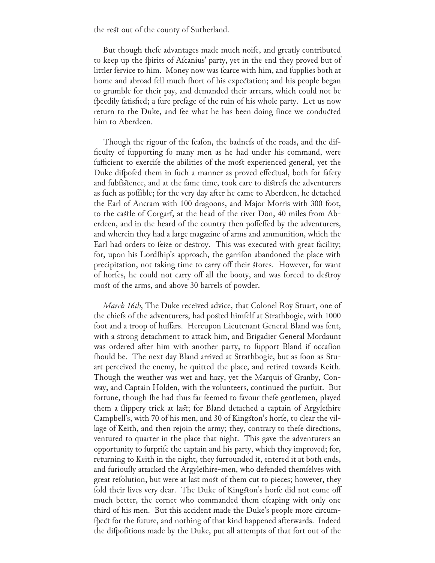the rest out of the county of Sutherland.

But though thefe advantages made much noife, and greatly contributed to keep up the fpirits of Afcanius' party, yet in the end they proved but of littler fervice to him. Money now was fcarce with him, and fupplies both at home and abroad fell much fhort of his expectation; and his people began to grumble for their pay, and demanded their arrears, which could not be fpeedily fatisfied; a fure prefage of the ruin of his whole party. Let us now return to the Duke, and fee what he has been doing fince we conducted him to Aberdeen.

Though the rigour of the feafon, the badnefs of the roads, and the difficulty of fupporting fo many men as he had under his command, were fufficient to exercife the abilities of the most experienced general, yet the Duke difpofed them in fuch a manner as proved effectual, both for fafety and fubfistence, and at the fame time, took care to distrefs the adventurers as fuch as poffible; for the very day after he came to Aberdeen, he detached the Earl of Ancram with 100 dragoons, and Major Morris with 300 foot, to the castle of Corgarf, at the head of the river Don, 40 miles from Aberdeen, and in the heard of the country then poffeffed by the adventurers, and wherein they had a large magazine of arms and ammunition, which the Earl had orders to feize or destroy. This was executed with great facility; for, upon his Lordfhip's approach, the garrifon abandoned the place with precipitation, not taking time to carry off their stores. However, for want of horfes, he could not carry off all the booty, and was forced to destroy most of the arms, and above 30 barrels of powder.

 *March 16th*, The Duke received advice, that Colonel Roy Stuart, one of the chiefs of the adventurers, had posted himfelf at Strathbogie, with 1000 foot and a troop of huffars. Hereupon Lieutenant General Bland was fent, with a strong detachment to attack him, and Brigadier General Mordaunt was ordered after him with another party, to fupport Bland if occafion fhould be. The next day Bland arrived at Strathbogie, but as foon as Stuart perceived the enemy, he quitted the place, and retired towards Keith. Though the weather was wet and hazy, yet the Marquis of Granby, Conway, and Captain Holden, with the volunteers, continued the purfuit. But fortune, though fhe had thus far feemed to favour thefe gentlemen, played them a flippery trick at last; for Bland detached a captain of Argyleshire Campbell's, with 70 of his men, and 30 of Kingston's horfe, to clear the village of Keith, and then rejoin the army; they, contrary to thefe directions, ventured to quarter in the place that night. This gave the adventurers an opportunity to furprife the captain and his party, which they improved; for, returning to Keith in the night, they furrounded it, entered it at both ends, and furioufly attacked the Argylefhire-men, who defended themfelves with great refolution, but were at last most of them cut to pieces; however, they fold their lives very dear. The Duke of Kingston's horfe did not come off much better, the cornet who commanded them efcaping with only one third of his men. But this accident made the Duke's people more circumfpect for the future, and nothing of that kind happened afterwards. Indeed the difpofitions made by the Duke, put all attempts of that fort out of the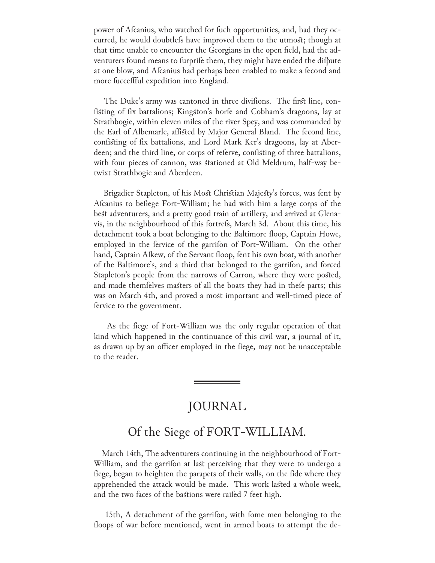power of Afcanius, who watched for fuch opportunities, and, had they occurred, he would doubtlefs have improved them to the utmost; though at that time unable to encounter the Georgians in the open field, had the adventurers found means to furprife them, they might have ended the difpute at one blow, and Afcanius had perhaps been enabled to make a fecond and more fucceffful expedition into England.

The Duke's army was cantoned in three divifions. The first line, confisting of fix battalions; Kingston's horfe and Cobham's dragoons, lay at Strathbogie, within eleven miles of the river Spey, and was commanded by the Earl of Albemarle, affisted by Major General Bland. The fecond line, confisting of fix battalions, and Lord Mark Ker's dragoons, lay at Aberdeen; and the third line, or corps of referve, confisting of three battalions, with four pieces of cannon, was stationed at Old Meldrum, half-way betwixt Strathbogie and Aberdeen.

Brigadier Stapleton, of his Most Christian Majesty's forces, was fent by Afcanius to befiege Fort-William; he had with him a large corps of the best adventurers, and a pretty good train of artillery, and arrived at Glenavis, in the neighbourhood of this fortrefs, March 3d. About this time, his detachment took a boat belonging to the Baltimore floop, Captain Howe, employed in the fervice of the garrifon of Fort-William. On the other hand, Captain Afkew, of the Servant floop, fent his own boat, with another of the Baltimore's, and a third that belonged to the garrifon, and forced Stapleton's people from the narrows of Carron, where they were posted, and made themselves masters of all the boats they had in these parts; this was on March 4th, and proved a most important and well-timed piece of fervice to the government.

As the fiege of Fort-William was the only regular operation of that kind which happened in the continuance of this civil war, a journal of it, as drawn up by an officer employed in the fiege, may not be unacceptable to the reader.

## JOURNAL

## Of the Siege of FORT-WILLIAM.

 March 14th, The adventurers continuing in the neighbourhood of Fort-William, and the garrifon at last perceiving that they were to undergo a fiege, began to heighten the parapets of their walls, on the fide where they apprehended the attack would be made. This work lasted a whole week, and the two faces of the bastions were raifed 7 feet high.

15th, A detachment of the garrifon, with fome men belonging to the floops of war before mentioned, went in armed boats to attempt the de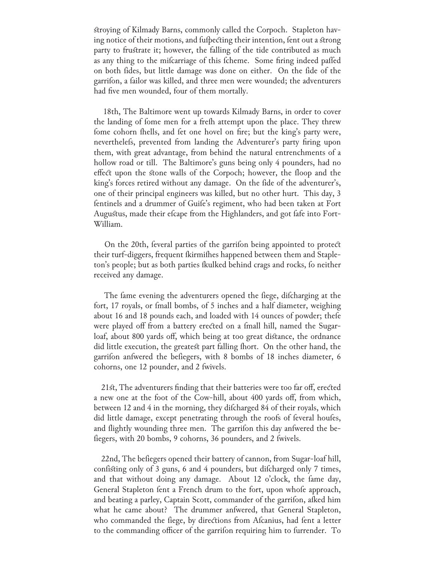stroying of Kilmady Barns, commonly called the Corpoch. Stapleton having notice of their motions, and fufbecting their intention, fent out a strong party to frustrate it; however, the falling of the tide contributed as much as any thing to the mifcarriage of this fcheme. Some firing indeed paffed on both fides, but little damage was done on either. On the fide of the garrifon, a failor was killed, and three men were wounded; the adventurers had five men wounded, four of them mortally.

 18th, The Baltimore went up towards Kilmady Barns, in order to cover the landing of fome men for a frefh attempt upon the place. They threw fome cohorn fhells, and fet one hovel on fire; but the king's party were, neverthelefs, prevented from landing the Adventurer's party firing upon them, with great advantage, from behind the natural entrenchments of a hollow road or till. The Baltimore's guns being only 4 pounders, had no effect upon the stone walls of the Corpoch; however, the floop and the king's forces retired without any damage. On the fide of the adventurer's, one of their principal engineers was killed, but no other hurt. This day, 3 fentinels and a drummer of Guife's regiment, who had been taken at Fort Augustus, made their efcape from the Highlanders, and got fafe into Fort-William.

On the 20th, feveral parties of the garrifon being appointed to protect their turf-diggers, frequent fkirmifhes happened between them and Stapleton's people; but as both parties fkulked behind crags and rocks, fo neither received any damage.

The fame evening the adventurers opened the fiege, difcharging at the fort, 17 royals, or fmall bombs, of 5 inches and a half diameter, weighing about 16 and 18 pounds each, and loaded with 14 ounces of powder; thefe were played off from a battery erected on a fmall hill, named the Sugarloaf, about 800 yards off, which being at too great distance, the ordnance did little execution, the greatest part falling fhort. On the other hand, the garrifon anfwered the befiegers, with 8 bombs of 18 inches diameter, 6 cohorns, one 12 pounder, and 2 fwivels.

 21st, The adventurers finding that their batteries were too far off, erected a new one at the foot of the Cow-hill, about 400 yards off, from which, between 12 and 4 in the morning, they difcharged 84 of their royals, which did little damage, except penetrating through the roofs of feveral houfes, and flightly wounding three men. The garrifon this day anfwered the befiegers, with 20 bombs, 9 cohorns, 36 pounders, and 2 fwivels.

22nd, The befiegers opened their battery of cannon, from Sugar-loaf hill, confisting only of 3 guns, 6 and 4 pounders, but difcharged only 7 times, and that without doing any damage. About 12 o'clock, the fame day, General Stapleton fent a French drum to the fort, upon whofe approach, and beating a parley, Captain Scott, commander of the garrifon, afked him what he came about? The drummer answered, that General Stapleton, who commanded the fiege, by directions from Afcanius, had fent a letter to the commanding officer of the garrifon requiring him to furrender. To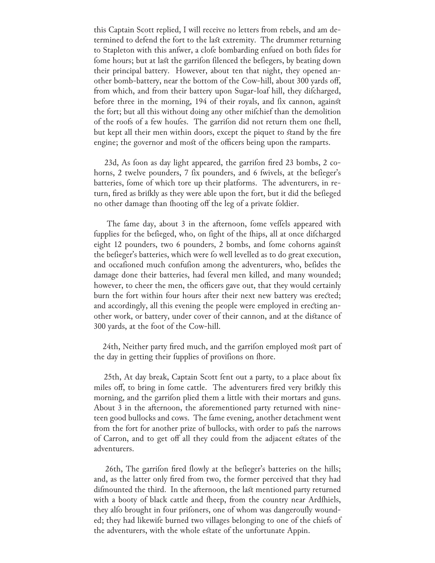this Captain Scott replied, I will receive no letters from rebels, and am determined to defend the fort to the last extremity. The drummer returning to Stapleton with this answer, a clofe bombarding enfued on both fides for fome hours; but at last the garrifon filenced the befiegers, by beating down their principal battery. However, about ten that night, they opened another bomb-battery, near the bottom of the Cow-hill, about 300 yards off, from which, and from their battery upon Sugar-loaf hill, they difcharged, before three in the morning, 194 of their royals, and fix cannon, against the fort; but all this without doing any other mifchief than the demolition of the roofs of a few houfes. The garrifon did not return them one fhell, but kept all their men within doors, except the piquet to stand by the fire engine; the governor and most of the officers being upon the ramparts.

23d, As foon as day light appeared, the garrifon fired 23 bombs, 2 cohorns, 2 twelve pounders, 7 fix pounders, and 6 fwivels, at the befieger's batteries, fome of which tore up their platforms. The adventurers, in return, fired as brifkly as they were able upon the fort, but it did the befieged no other damage than fhooting off the leg of a private foldier.

The fame day, about 3 in the afternoon, fome veffels appeared with fupplies for the befieged, who, on fight of the fhips, all at once difcharged eight 12 pounders, two 6 pounders, 2 bombs, and fome cohorns against the befieger's batteries, which were fo well levelled as to do great execution, and occafioned much confufion among the adventurers, who, befides the damage done their batteries, had feveral men killed, and many wounded; however, to cheer the men, the officers gave out, that they would certainly burn the fort within four hours after their next new battery was erected; and accordingly, all this evening the people were employed in erecting another work, or battery, under cover of their cannon, and at the distance of 300 yards, at the foot of the Cow-hill.

24th, Neither party fired much, and the garrifon employed most part of the day in getting their fupplies of provifions on fhore.

25th, At day break, Captain Scott fent out a party, to a place about fix miles off, to bring in fome cattle. The adventurers fired very brifkly this morning, and the garrifon plied them a little with their mortars and guns. About 3 in the afternoon, the aforementioned party returned with nineteen good bullocks and cows. The fame evening, another detachment went from the fort for another prize of bullocks, with order to pafs the narrows of Carron, and to get off all they could from the adjacent estates of the adventurers.

26th, The garrifon fired flowly at the befieger's batteries on the hills; and, as the latter only fired from two, the former perceived that they had difmounted the third. In the afternoon, the last mentioned party returned with a booty of black cattle and fheep, from the country near Ardfhiels, they alfo brought in four prifoners, one of whom was dangeroufly wounded; they had likewife burned two villages belonging to one of the chiefs of the adventurers, with the whole estate of the unfortunate Appin.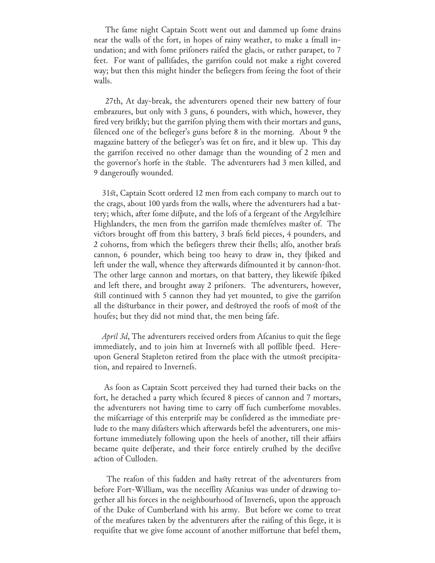The fame night Captain Scott went out and dammed up fome drains near the walls of the fort, in hopes of rainy weather, to make a fmall inundation; and with fome prifoners raifed the glacis, or rather parapet, to 7 feet. For want of pallifades, the garrifon could not make a right covered way; but then this might hinder the befiegers from feeing the foot of their walls.

 27th, At day-break, the adventurers opened their new battery of four embrazures, but only with 3 guns, 6 pounders, with which, however, they fired very brißkly; but the garrifon plying them with their mortars and guns, filenced one of the befieger's guns before 8 in the morning. About 9 the magazine battery of the befieger's was fet on fire, and it blew up. This day the garrifon received no other damage than the wounding of 2 men and the governor's horfe in the stable. The adventurers had 3 men killed, and 9 dangeroufly wounded.

 31st, Captain Scott ordered 12 men from each company to march out to the crags, about 100 yards from the walls, where the adventurers had a battery; which, after fome difpute, and the lofs of a fergeant of the Argylefhire Highlanders, the men from the garrifon made themfelves master of. The victors brought off from this battery, 3 brafs field pieces, 4 pounders, and 2 cohorns, from which the befiegers threw their fhells; alfo, another brafs cannon, 6 pounder, which being too heavy to draw in, they fpiked and left under the wall, whence they afterwards difmounted it by cannon-fhot. The other large cannon and mortars, on that battery, they likewife fpiked and left there, and brought away 2 prifoners. The adventurers, however, still continued with 5 cannon they had yet mounted, to give the garrison all the disturbance in their power, and destroyed the roofs of most of the houfes; but they did not mind that, the men being fafe.

*April 3d*, The adventurers received orders from Afcanius to quit the fiege immediately, and to join him at Invernefs with all poffible fpeed. Hereupon General Stapleton retired from the place with the utmost precipitation, and repaired to Invernefs.

As foon as Captain Scott perceived they had turned their backs on the fort, he detached a party which fecured 8 pieces of cannon and 7 mortars, the adventurers not having time to carry off fuch cumberfome movables. the mifcarriage of this enterprife may be confidered as the immediate prelude to the many difasters which afterwards befel the adventurers, one misfortune immediately following upon the heels of another, till their affairs became quite defperate, and their force entirely crufhed by the decifive action of Culloden.

The reafon of this fudden and hasty retreat of the adventurers from before Fort-William, was the neceffity Afcanius was under of drawing together all his forces in the neighbourhood of Invernefs, upon the approach of the Duke of Cumberland with his army. But before we come to treat of the meafures taken by the adventurers after the raifing of this fiege, it is requifite that we give fome account of another miffortune that befel them,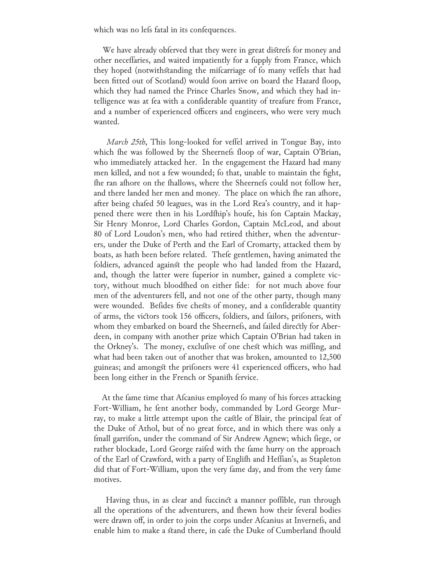which was no lefs fatal in its confequences.

We have already obferved that they were in great distrefs for money and other neceffaries, and waited impatiently for a fupply from France, which they hoped (notwithstanding the mifcarriage of fo many veffels that had been fitted out of Scotland) would foon arrive on board the Hazard floop, which they had named the Prince Charles Snow, and which they had intelligence was at fea with a confiderable quantity of treafure from France, and a number of experienced officers and engineers, who were very much wanted.

*March 25th*, This long-looked for veffel arrived in Tongue Bay, into which the was followed by the Sheernefs floop of war, Captain O'Brian, who immediately attacked her. In the engagement the Hazard had many men killed, and not a few wounded; fo that, unable to maintain the fight, fhe ran afhore on the fhallows, where the Sheernefs could not follow her, and there landed her men and money. The place on which fhe ran afhore, after being chafed 50 leagues, was in the Lord Rea's country, and it happened there were then in his Lordfhip's houfe, his fon Captain Mackay, Sir Henry Monroe, Lord Charles Gordon, Captain McLeod, and about 80 of Lord Loudon's men, who had retired thither, when the adventurers, under the Duke of Perth and the Earl of Cromarty, attacked them by boats, as hath been before related. Thefe gentlemen, having animated the foldiers, advanced against the people who had landed from the Hazard, and, though the latter were fuperior in number, gained a complete victory, without much bloodfhed on either fide: for not much above four men of the adventurers fell, and not one of the other party, though many were wounded. Befides five chests of money, and a confiderable quantity of arms, the victors took 156 officers, foldiers, and failors, prifoners, with whom they embarked on board the Sheernefs, and failed directly for Aberdeen, in company with another prize which Captain O'Brian had taken in the Orkney's. The money, exclufive of one chest which was miffing, and what had been taken out of another that was broken, amounted to 12,500 guineas; and amongst the prifoners were 41 experienced officers, who had been long either in the French or Spanifh fervice.

At the fame time that Afcanius employed fo many of his forces attacking Fort-William, he fent another body, commanded by Lord George Murray, to make a little attempt upon the castle of Blair, the principal feat of the Duke of Athol, but of no great force, and in which there was only a fmall garrifon, under the command of Sir Andrew Agnew; which fiege, or rather blockade, Lord George raifed with the fame hurry on the approach of the Earl of Crawford, with a party of Englifh and Heffian's, as Stapleton did that of Fort-William, upon the very fame day, and from the very fame motives.

Having thus, in as clear and fuccinct a manner poffible, run through all the operations of the adventurers, and fhewn how their feveral bodies were drawn off, in order to join the corps under Afcanius at Invernefs, and enable him to make a stand there, in cafe the Duke of Cumberland fhould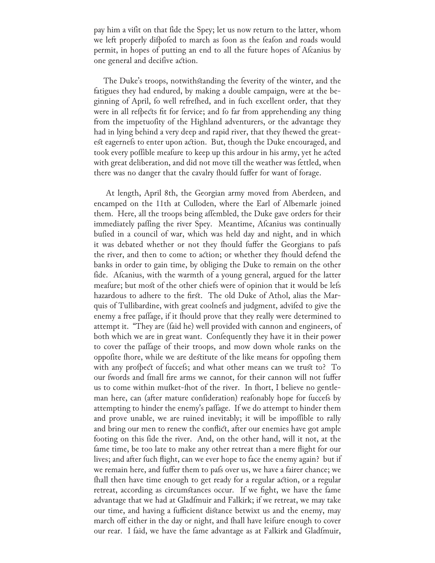pay him a vifit on that fide the Spey; let us now return to the latter, whom we left properly difpofed to march as foon as the feafon and roads would permit, in hopes of putting an end to all the future hopes of Afcanius by one general and decifive action.

The Duke's troops, notwithstanding the feverity of the winter, and the fatigues they had endured, by making a double campaign, were at the beginning of April, fo well refrefhed, and in fuch excellent order, that they were in all refpects fit for fervice; and fo far from apprehending any thing from the impetuofity of the Highland adventurers, or the advantage they had in lying behind a very deep and rapid river, that they fhewed the greatest eagernefs to enter upon action. But, though the Duke encouraged, and took every poffible meafure to keep up this ardour in his army, yet he acted with great deliberation, and did not move till the weather was fettled, when there was no danger that the cavalry fhould fuffer for want of forage.

 At length, April 8th, the Georgian army moved from Aberdeen, and encamped on the 11th at Culloden, where the Earl of Albemarle joined them. Here, all the troops being affembled, the Duke gave orders for their immediately paffing the river Spey. Meantime, Afcanius was continually bufied in a council of war, which was held day and night, and in which it was debated whether or not they fhould fuffer the Georgians to pafs the river, and then to come to action; or whether they fhould defend the banks in order to gain time, by obliging the Duke to remain on the other fide. Afcanius, with the warmth of a young general, argued for the latter meafure; but most of the other chiefs were of opinion that it would be lefs hazardous to adhere to the first. The old Duke of Athol, alias the Marquis of Tullibardine, with great coolnefs and judgment, advifed to give the enemy a free paffage, if it fhould prove that they really were determined to attempt it. "They are (faid he) well provided with cannon and engineers, of both which we are in great want. Confequently they have it in their power to cover the paffage of their troops, and mow down whole ranks on the oppofite fhore, while we are destitute of the like means for oppofing them with any profpect of fuccefs; and what other means can we trust to? To our fwords and fmall fire arms we cannot, for their cannon will not fuffer us to come within mufket-fhot of the river. In fhort, I believe no gentleman here, can (after mature confideration) reafonably hope for fuccefs by attempting to hinder the enemy's paffage. If we do attempt to hinder them and prove unable, we are ruined inevitably; it will be impoffible to rally and bring our men to renew the conflict, after our enemies have got ample footing on this fide the river. And, on the other hand, will it not, at the fame time, be too late to make any other retreat than a mere flight for our lives; and after fuch flight, can we ever hope to face the enemy again? but if we remain here, and fuffer them to pafs over us, we have a fairer chance; we fhall then have time enough to get ready for a regular action, or a regular retreat, according as circumstances occur. If we fight, we have the fame advantage that we had at Gladfmuir and Falkirk; if we retreat, we may take our time, and having a fufficient distance betwixt us and the enemy, may march off either in the day or night, and fhall have leifure enough to cover our rear. I faid, we have the fame advantage as at Falkirk and Gladfmuir,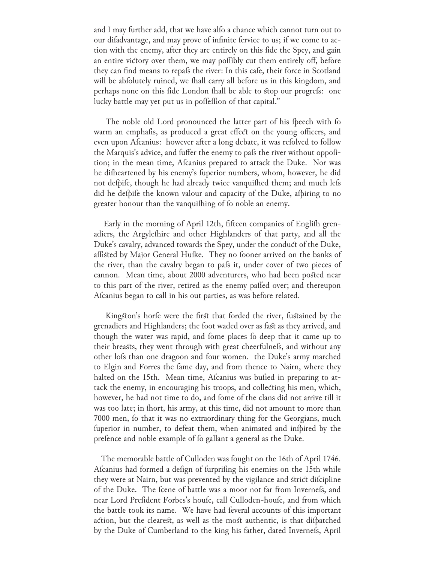and I may further add, that we have alfo a chance which cannot turn out to our difadvantage, and may prove of infinite fervice to us; if we come to action with the enemy, after they are entirely on this fide the Spey, and gain an entire victory over them, we may poffibly cut them entirely off, before they can find means to repafs the river: In this cafe, their force in Scotland will be abfolutely ruined, we fhall carry all before us in this kingdom, and perhaps none on this fide London fhall be able to stop our progrefs: one lucky battle may yet put us in poffeffion of that capital."

The noble old Lord pronounced the latter part of his fpeech with fo warm an emphafis, as produced a great effect on the young officers, and even upon Afcanius: however after a long debate, it was refolved to follow the Marquis's advice, and fuffer the enemy to pafs the river without oppofition; in the mean time, Afcanius prepared to attack the Duke. Nor was he difheartened by his enemy's fuperior numbers, whom, however, he did not defpife, though he had already twice vanquifhed them; and much lefs did he defpife the known valour and capacity of the Duke, afpiring to no greater honour than the vanquifhing of fo noble an enemy.

Early in the morning of April 12th, fifteen companies of English grenadiers, the Argylefhire and other Highlanders of that party, and all the Duke's cavalry, advanced towards the Spey, under the conduct of the Duke, affisted by Major General Hufke. They no fooner arrived on the banks of the river, than the cavalry began to pafs it, under cover of two pieces of cannon. Mean time, about 2000 adventurers, who had been posted near to this part of the river, retired as the enemy paffed over; and thereupon Afcanius began to call in his out parties, as was before related.

Kingston's horfe were the first that forded the river, fustained by the grenadiers and Highlanders; the foot waded over as fast as they arrived, and though the water was rapid, and fome places fo deep that it came up to their breasts, they went through with great cheerfulnefs, and without any other lofs than one dragoon and four women. the Duke's army marched to Elgin and Forres the fame day, and from thence to Nairn, where they halted on the 15th. Mean time, Alcanius was bulied in preparing to attack the enemy, in encouraging his troops, and collecting his men, which, however, he had not time to do, and fome of the clans did not arrive till it was too late; in fhort, his army, at this time, did not amount to more than 7000 men, fo that it was no extraordinary thing for the Georgians, much fuperior in number, to defeat them, when animated and infpired by the prefence and noble example of fo gallant a general as the Duke.

 The memorable battle of Culloden was fought on the 16th of April 1746. Afcanius had formed a defign of furprifing his enemies on the 15th while they were at Nairn, but was prevented by the vigilance and strict difcipline of the Duke. The fcene of battle was a moor not far from Invernefs, and near Lord Prefident Forbes's houfe, call Culloden-houfe, and from which the battle took its name. We have had feveral accounts of this important action, but the clearest, as well as the most authentic, is that difpatched by the Duke of Cumberland to the king his father, dated Invernefs, April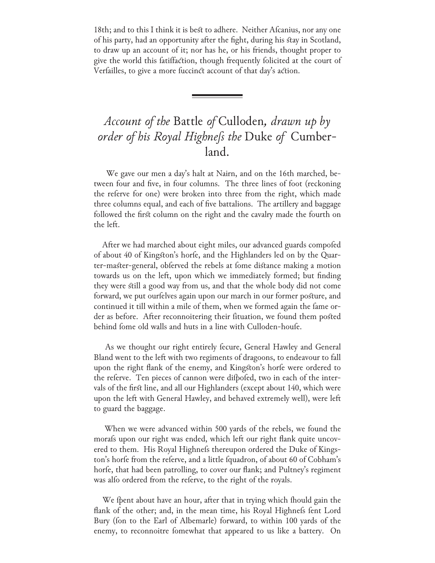18th; and to this I think it is best to adhere. Neither Afcanius, nor any one of his party, had an opportunity after the fight, during his stay in Scotland, to draw up an account of it; nor has he, or his friends, thought proper to give the world this fatiffaction, though frequently folicited at the court of Verfailles, to give a more fuccinct account of that day's action.

## *Account of the* Battle *of* Culloden*, drawn up by order of his Royal Highness the* Duke *of*  Cumberland.

 We gave our men a day's halt at Nairn, and on the 16th marched, between four and five, in four columns. The three lines of foot (reckoning the referve for one) were broken into three from the right, which made three columns equal, and each of five battalions. The artillery and baggage followed the first column on the right and the cavalry made the fourth on the left.

After we had marched about eight miles, our advanced guards compofed of about 40 of Kingston's horfe, and the Highlanders led on by the Quarter-master-general, obferved the rebels at fome distance making a motion towards us on the left, upon which we immediately formed; but finding they were still a good way from us, and that the whole body did not come forward, we put ourfelves again upon our march in our former posture, and continued it till within a mile of them, when we formed again the fame order as before. After reconnoitering their fituation, we found them posted behind fome old walls and huts in a line with Culloden-houfe.

As we thought our right entirely fecure, General Hawley and General Bland went to the left with two regiments of dragoons, to endeavour to fall upon the right flank of the enemy, and Kingston's horfe were ordered to the referve. Ten pieces of cannon were difpofed, two in each of the intervals of the first line, and all our Highlanders (except about 140, which were upon the left with General Hawley, and behaved extremely well), were left to guard the baggage.

 When we were advanced within 500 yards of the rebels, we found the morafs upon our right was ended, which left our right flank quite uncovered to them. His Royal Highnefs thereupon ordered the Duke of Kingston's horfe from the referve, and a little fquadron, of about 60 of Cobham's horfe, that had been patrolling, to cover our flank; and Pultney's regiment was alfo ordered from the referve, to the right of the royals.

We fpent about have an hour, after that in trying which fhould gain the flank of the other; and, in the mean time, his Royal Highnefs fent Lord Bury (fon to the Earl of Albemarle) forward, to within 100 yards of the enemy, to reconnoitre fomewhat that appeared to us like a battery. On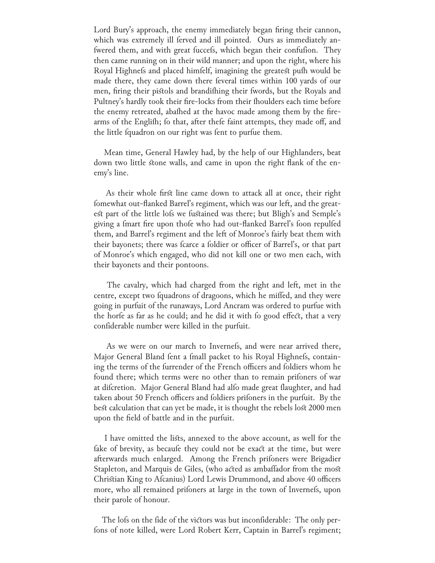Lord Bury's approach, the enemy immediately began firing their cannon, which was extremely ill ferved and ill pointed. Ours as immediately anfwered them, and with great fuccefs, which began their confufion. They then came running on in their wild manner; and upon the right, where his Royal Highnefs and placed himfelf, imagining the greatest pufh would be made there, they came down there feveral times within 100 yards of our men, firing their pistols and brandifhing their fwords, but the Royals and Pultney's hardly took their fire-locks from their fhoulders each time before the enemy retreated, abafhed at the havoc made among them by the firearms of the Englifh; fo that, after thefe faint attempts, they made off, and the little fquadron on our right was fent to purfue them.

 Mean time, General Hawley had, by the help of our Highlanders, beat down two little stone walls, and came in upon the right flank of the enemy's line.

 As their whole first line came down to attack all at once, their right fomewhat out-flanked Barrel's regiment, which was our left, and the greatest part of the little lois we fustained was there; but Bligh's and Semple's giving a fmart fire upon thofe who had out-flanked Barrel's foon repulfed them, and Barrel's regiment and the left of Monroe's fairly beat them with their bayonets; there was fcarce a foldier or officer of Barrel's, or that part of Monroe's which engaged, who did not kill one or two men each, with their bayonets and their pontoons.

 The cavalry, which had charged from the right and left, met in the centre, except two fquadrons of dragoons, which he miffed, and they were going in purfuit of the runaways, Lord Ancram was ordered to purfue with the horfe as far as he could; and he did it with fo good effect, that a very confiderable number were killed in the purfuit.

As we were on our march to Invernels, and were near arrived there, Major General Bland fent a fmall packet to his Royal Highnefs, containing the terms of the furrender of the French officers and foldiers whom he found there; which terms were no other than to remain prifoners of war at difcretion. Major General Bland had alfo made great flaughter, and had taken about 50 French officers and foldiers prifoners in the purfuit. By the best calculation that can yet be made, it is thought the rebels lost 2000 men upon the field of battle and in the purfuit.

 I have omitted the lists, annexed to the above account, as well for the fake of brevity, as becaufe they could not be exact at the time, but were afterwards much enlarged. Among the French prifoners were Brigadier Stapleton, and Marquis de Giles, (who acted as ambaffador from the most Christian King to Afcanius) Lord Lewis Drummond, and above 40 officers more, who all remained prifoners at large in the town of Invernefs, upon their parole of honour.

The lofs on the fide of the victors was but inconfiderable: The only perfons of note killed, were Lord Robert Kerr, Captain in Barrel's regiment;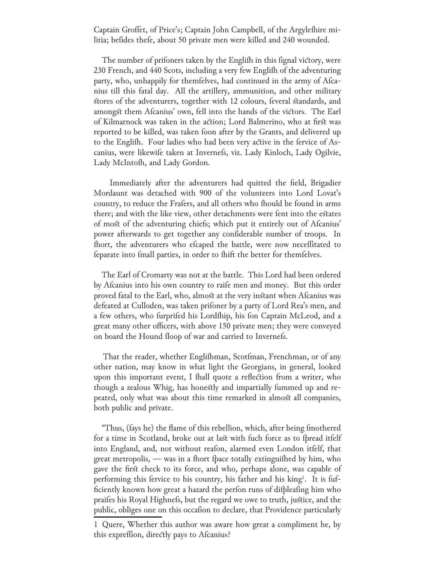Captain Groffet, of Price's; Captain John Campbell, of the Argyleshire militia; befides thefe, about 50 private men were killed and 240 wounded.

The number of prifoners taken by the Englifh in this fignal victory, were 230 French, and 440 Scots, including a very few Englifh of the adventuring party, who, unhappily for themselves, had continued in the army of Afcanius till this fatal day. All the artillery, ammunition, and other military stores of the adventurers, together with 12 colours, feveral standards, and amongst them Afcanius' own, fell into the hands of the victors. The Earl of Kilmarnock was taken in the action; Lord Balmerino, who at first was reported to be killed, was taken foon after by the Grants, and delivered up to the Englifh. Four ladies who had been very active in the fervice of Ascanius, were likewife taken at Invernefs, viz. Lady Kinloch, Lady Ogilvie, Lady McIntofh, and Lady Gordon.

 Immediately after the adventurers had quitted the field, Brigadier Mordaunt was detached with 900 of the volunteers into Lord Lovat's country, to reduce the Frafers, and all others who fhould be found in arms there; and with the like view, other detachments were fent into the estates of most of the adventuring chiefs; which put it entirely out of Afcanius' power afterwards to get together any confiderable number of troops. In fhort, the adventurers who efcaped the battle, were now neceffitated to feparate into fmall parties, in order to fhift the better for themselves.

 The Earl of Cromarty was not at the battle. This Lord had been ordered by Afcanius into his own country to raife men and money. But this order proved fatal to the Earl, who, almost at the very instant when Afcanius was defeated at Culloden, was taken prifoner by a party of Lord Rea's men, and a few others, who furprifed his Lordfhip, his fon Captain McLeod, and a great many other officers, with above 150 private men; they were conveyed on board the Hound floop of war and carried to Invernefs.

That the reader, whether Englifhman, Scotfman, Frenchman, or of any other nation, may know in what light the Georgians, in general, looked upon this important event, I fhall quote a reflection from a writer, who though a zealous Whig, has honestly and impartially fummed up and repeated, only what was about this time remarked in almost all companies, both public and private.

"Thus, (fays he) the flame of this rebellion, which, after being fmothered for a time in Scotland, broke out at last with fuch force as to fpread itfelf into England, and, not without reafon, alarmed even London itfelf, that great metropolis, — was in a fhort fpace totally extinguifhed by him, who gave the first check to its force, and who, perhaps alone, was capable of performing this fervice to his country, his father and his king<sup>1</sup>. It is fufficiently known how great a hazard the perfon runs of difpleafing him who praifes his Royal Highnefs, but the regard we owe to truth, justice, and the public, obliges one on this occafion to declare, that Providence particularly

<sup>1</sup> Quere, Whether this author was aware how great a compliment he, by this expreffion, directly pays to Afcanius?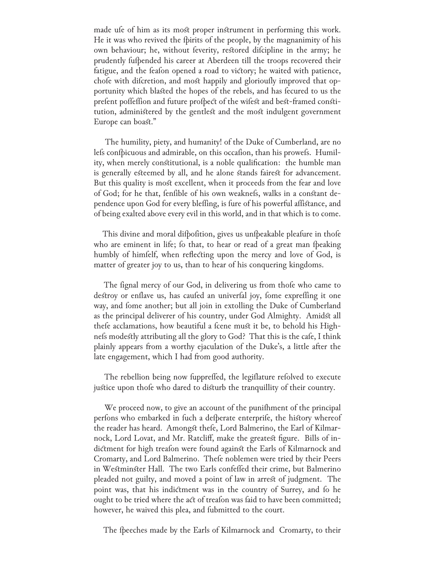made ufe of him as its most proper instrument in performing this work. He it was who revived the fpirits of the people, by the magnanimity of his own behaviour; he, without feverity, restored difcipline in the army; he prudently fufpended his career at Aberdeen till the troops recovered their fatigue, and the feafon opened a road to victory; he waited with patience, chofe with difcretion, and most happily and glorioufly improved that opportunity which blasted the hopes of the rebels, and has fecured to us the prefent poffeffion and future profpect of the wifest and best-framed constitution, administered by the gentlest and the most indulgent government Europe can boast."

 The humility, piety, and humanity! of the Duke of Cumberland, are no lefs confpicuous and admirable, on this occafion, than his prowefs. Humility, when merely constitutional, is a noble qualification: the humble man is generally esteemed by all, and he alone stands fairest for advancement. But this quality is most excellent, when it proceeds from the fear and love of God; for he that, fenfible of his own weaknefs, walks in a constant dependence upon God for every bleffing, is fure of his powerful affistance, and of being exalted above every evil in this world, and in that which is to come.

This divine and moral difpofition, gives us unfpeakable pleafure in thofe who are eminent in life; fo that, to hear or read of a great man fpeaking humbly of himfelf, when reflecting upon the mercy and love of God, is matter of greater joy to us, than to hear of his conquering kingdoms.

The fignal mercy of our God, in delivering us from thofe who came to destroy or enflave us, has caufed an univerfal joy, fome expreffing it one way, and fome another; but all join in extolling the Duke of Cumberland as the principal deliverer of his country, under God Almighty. Amidst all thefe acclamations, how beautiful a fcene must it be, to behold his Highnefs modestly attributing all the glory to God? That this is the cafe, I think plainly appears from a worthy ejaculation of the Duke's, a little after the late engagement, which I had from good authority.

The rebellion being now fuppreffed, the legiflature refolved to execute justice upon thofe who dared to disturb the tranquillity of their country.

We proceed now, to give an account of the punif ment of the principal perfons who embarked in fuch a defperate enterprife, the history whereof the reader has heard. Amongst thefe, Lord Balmerino, the Earl of Kilmarnock, Lord Lovat, and Mr. Ratcliff, make the greatest figure. Bills of indictment for high treafon were found against the Earls of Kilmarnock and Cromarty, and Lord Balmerino. Thefe noblemen were tried by their Peers in Westminster Hall. The two Earls confeffed their crime, but Balmerino pleaded not guilty, and moved a point of law in arrest of judgment. The point was, that his indictment was in the country of Surrey, and fo he ought to be tried where the act of treafon was faid to have been committed; however, he waived this plea, and fubmitted to the court.

The fpeeches made by the Earls of Kilmarnock and Cromarty, to their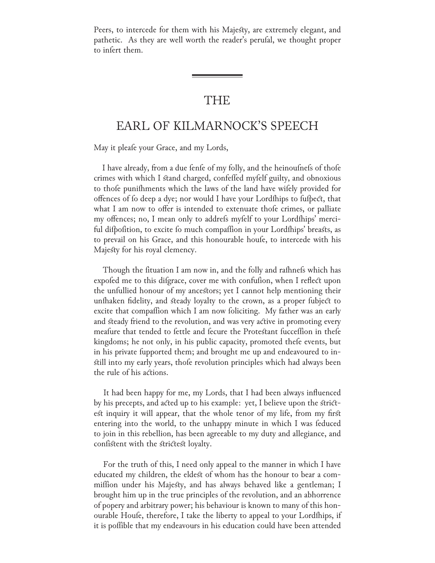Peers, to intercede for them with his Majesty, are extremely elegant, and pathetic. As they are well worth the reader's perufal, we thought proper to infert them.

### THE

## EARL OF KILMARNOCK'S SPEECH

May it pleafe your Grace, and my Lords,

I have already, from a due fenfe of my folly, and the heinoufnefs of thofe crimes with which I stand charged, confelled myfelf guilty, and obnoxious to thofe punifhments which the laws of the land have wifely provided for offences of fo deep a dye; nor would I have your Lordfhips to fufpect, that what I am now to offer is intended to extenuate thofe crimes, or palliate my offences; no, I mean only to addrefs myfelf to your Lordfhips' merciful difpofition, to excite fo much compaffion in your Lordfhips' breasts, as to prevail on his Grace, and this honourable houfe, to intercede with his Majesty for his royal clemency.

Though the fituation I am now in, and the folly and rafhnefs which has expofed me to this difgrace, cover me with confufion, when I reflect upon the unfullied honour of my ancestors; yet I cannot help mentioning their unfhaken fidelity, and steady loyalty to the crown, as a proper fubject to excite that compaffion which I am now foliciting. My father was an early and steady friend to the revolution, and was very active in promoting every meafure that tended to fettle and fecure the Protestant fucceffion in thefe kingdoms; he not only, in his public capacity, promoted thefe events, but in his private fupported them; and brought me up and endeavoured to instill into my early years, thofe revolution principles which had always been the rule of his actions.

 It had been happy for me, my Lords, that I had been always influenced by his precepts, and acted up to his example: yet, I believe upon the strictest inquiry it will appear, that the whole tenor of my life, from my first entering into the world, to the unhappy minute in which I was feduced to join in this rebellion, has been agreeable to my duty and allegiance, and confistent with the strictest loyalty.

 For the truth of this, I need only appeal to the manner in which I have educated my children, the eldest of whom has the honour to bear a commiffion under his Majesty, and has always behaved like a gentleman; I brought him up in the true principles of the revolution, and an abhorrence of popery and arbitrary power; his behaviour is known to many of this honourable Houfe, therefore, I take the liberty to appeal to your Lordfhips, if it is poffible that my endeavours in his education could have been attended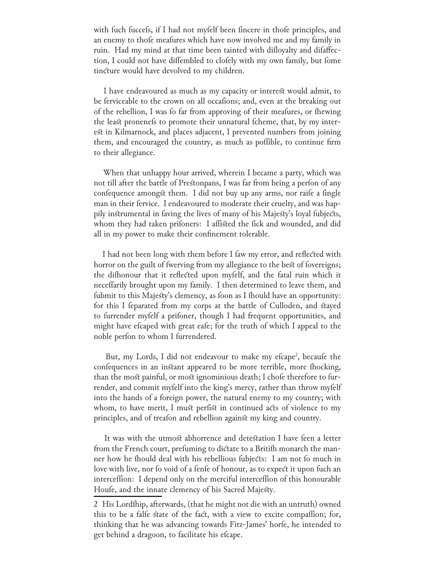with fuch fuccefs, if I had not myfelf been fincere in thofe principles, and an enemy to thofe meafures which have now involved me and my family in ruin. Had my mind at that time been tainted with difloyalty and difaffection, I could not have diffembled to clofely with my own family, but fome tincture would have devolved to my children.

 I have endeavoured as much as my capacity or interest would admit, to be ferviceable to the crown on all occafions; and, even at the breaking out of the rebellion, I was fo far from approving of their meafures, or fhewing the least pronenefs to promote their unnatural fcheme, that, by my interest in Kilmarnock, and places adjacent, I prevented numbers from joining them, and encouraged the country, as much as poffible, to continue firm to their allegiance.

 When that unhappy hour arrived, wherein I became a party, which was not till after the battle of Prestonpans, I was far from being a perfon of any confequence amongst them. I did not buy up any arms, nor raife a fingle man in their fervice. I endeavoured to moderate their cruelty, and was happily instrumental in faving the lives of many of his Majesty's loyal fubjects, whom they had taken prifoners: I affisted the fick and wounded, and did all in my power to make their confinement tolerable.

I had not been long with them before I faw my error, and reflected with horror on the guilt of fwerving from my allegiance to the best of fovereigns; the difhonour that it reflected upon myfelf, and the fatal ruin which it neceffarily brought upon my family. I then determined to leave them, and fubmit to this Majesty's clemency, as foon as I fhould have an opportunity: for this I feparated from my corps at the battle of Culloden, and stayed to furrender myfelf a prifoner, though I had frequent opportunities, and might have efcaped with great eafe; for the truth of which I appeal to the noble perfon to whom I furrendered.

But, my Lords, I did not endeavour to make my efcape<sup>2</sup>, becaufe the confequences in an instant appeared to be more terrible, more fhocking, than the most painful, or most ignominious death; I chofe therefore to furrender, and commit myfelf into the king's mercy, rather than throw myfelf into the hands of a foreign power, the natural enemy to my country; with whom, to have merit, I must perfist in continued acts of violence to my principles, and of treafon and rebellion against my king and country.

It was with the utmost abhorrence and detestation I have feen a letter from the French court, prefuming to dictate to a Britifh monarch the manner how he fhould deal with his rebellious fubjects: I am not fo much in love with live, nor fo void of a fenfe of honour, as to expect it upon fuch an interceffion: I depend only on the merciful interceffion of this honourable Houfe, and the innate clemency of his Sacred Majesty.

<sup>2</sup> His Lordfhip, afterwards, (that he might not die with an untruth) owned this to be a falfe state of the fact, with a view to excite compaffion; for, thinking that he was advancing towards Fitz-James' horfe, he intended to get behind a dragoon, to facilitate his efcape.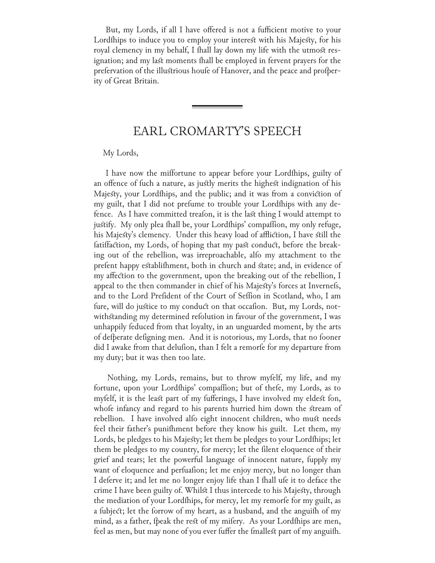But, my Lords, if all I have offered is not a fufficient motive to your Lordships to induce you to employ your interest with his Majesty, for his royal clemency in my behalf, I fhall lay down my life with the utmost resignation; and my last moments fhall be employed in fervent prayers for the prefervation of the illustrious houfe of Hanover, and the peace and profperity of Great Britain.

## EARL CROMARTY'S SPEECH

<u> 1989 - Johann Barnett, mars et al. 1989 - Anna ann an t-Anna ann an t-Anna ann an t-Anna ann an t-Anna ann an</u>

#### My Lords,

I have now the miffortune to appear before your Lordships, guilty of an offence of fuch a nature, as justly merits the highest indignation of his Majesty, your Lordships, and the public; and it was from a conviction of my guilt, that I did not prefume to trouble your Lordfhips with any defence. As I have committed treafon, it is the last thing I would attempt to justify. My only plea fhall be, your Lordfhips' compaffion, my only refuge, his Majesty's clemency. Under this heavy load of affliction, I have still the fatiffaction, my Lords, of hoping that my past conduct, before the breaking out of the rebellion, was irreproachable, alfo my attachment to the prefent happy establifhment, both in church and state; and, in evidence of my affection to the government, upon the breaking out of the rebellion, I appeal to the then commander in chief of his Majesty's forces at Invernefs, and to the Lord Prefident of the Court of Seffion in Scotland, who, I am fure, will do justice to my conduct on that occafion. But, my Lords, notwithstanding my determined refolution in favour of the government, I was unhappily feduced from that loyalty, in an unguarded moment, by the arts of defperate defigning men. And it is notorious, my Lords, that no fooner did I awake from that delufion, than I felt a remorfe for my departure from my duty; but it was then too late.

Nothing, my Lords, remains, but to throw myfelf, my life, and my fortune, upon your Lordships' compaffion; but of thefe, my Lords, as to myfelf, it is the least part of my fufferings, I have involved my eldest fon, whofe infancy and regard to his parents hurried him down the stream of rebellion. I have involved alfo eight innocent children, who must needs feel their father's punifhment before they know his guilt. Let them, my Lords, be pledges to his Majesty; let them be pledges to your Lordfhips; let them be pledges to my country, for mercy; let the filent eloquence of their grief and tears; let the powerful language of innocent nature, fupply my want of eloquence and perfuafion; let me enjoy mercy, but no longer than I deferve it; and let me no longer enjoy life than I fhall ufe it to deface the crime I have been guilty of. Whilst I thus intercede to his Majesty, through the mediation of your Lordfhips, for mercy, let my remorfe for my guilt, as a fubject; let the forrow of my heart, as a husband, and the anguifh of my mind, as a father, fpeak the rest of my mifery. As your Lordships are men, feel as men, but may none of you ever fuffer the fmallest part of my anguifh.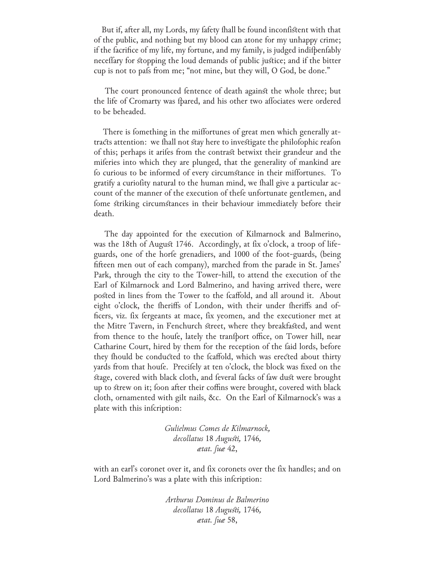But if, after all, my Lords, my fafety fhall be found inconfistent with that of the public, and nothing but my blood can atone for my unhappy crime; if the facrifice of my life, my fortune, and my family, is judged indifpenfably neceffary for stopping the loud demands of public justice; and if the bitter cup is not to pafs from me; "not mine, but they will, O God, be done."

The court pronounced fentence of death against the whole three; but the life of Cromarty was fpared, and his other two affociates were ordered to be beheaded.

There is fomething in the miffortunes of great men which generally attracts attention: we fhall not stay here to investigate the philosophic reason of this; perhaps it arifes from the contrast betwixt their grandeur and the mileries into which they are plunged, that the generality of mankind are fo curious to be informed of every circumstance in their miffortunes. To gratify a curiofity natural to the human mind, we fhall give a particular account of the manner of the execution of thefe unfortunate gentlemen, and fome striking circumstances in their behaviour immediately before their death.

 The day appointed for the execution of Kilmarnock and Balmerino, was the 18th of August 1746. Accordingly, at fix o'clock, a troop of lifeguards, one of the horfe grenadiers, and 1000 of the foot-guards, (being fifteen men out of each company), marched from the parade in St. James' Park, through the city to the Tower-hill, to attend the execution of the Earl of Kilmarnock and Lord Balmerino, and having arrived there, were posted in lines from the Tower to the fcaffold, and all around it. About eight o'clock, the fheriffs of London, with their under fheriffs and officers, viz. fix fergeants at mace, fix yeomen, and the executioner met at the Mitre Tavern, in Fenchurch street, where they breakfasted, and went from thence to the houfe, lately the tranfport office, on Tower hill, near Catharine Court, hired by them for the reception of the faid lords, before they fhould be conducted to the fcaffold, which was erected about thirty yards from that houfe. Precifely at ten o'clock, the block was fixed on the stage, covered with black cloth, and feveral facks of faw dust were brought up to strew on it; foon after their coffins were brought, covered with black cloth, ornamented with gilt nails, &c. On the Earl of Kilmarnock's was a plate with this infcription:

> *Gulielmus Comes de Kilmarnock, decollatus* 18 *Augusti,* 1746*, ætat. fuæ* 42,

with an earl's coronet over it, and fix coronets over the fix handles; and on Lord Balmerino's was a plate with this infcription:

> *Arthurus Dominus de Balmerino decollatus* 18 *Augusti,* 1746*, ætat. fuæ* 58,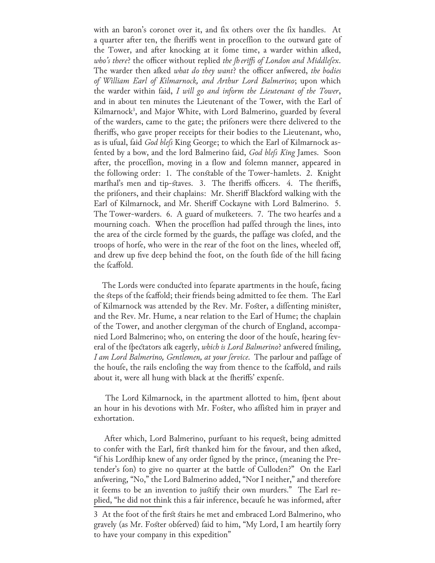with an baron's coronet over it, and fix others over the fix handles. At a quarter after ten, the fheriffs went in proceffion to the outward gate of the Tower, and after knocking at it fome time, a warder within afked, who's there? the officer without replied *the [heriffs of London and Middle* [ex. The warder then afked *what do they want*? the officer anfwered, *the bodies of William Earl of Kilmarnock, and Arthur Lord Balmerino*; upon which the warder within faid, *I will go and inform the Lieutenant of the Tower*, and in about ten minutes the Lieutenant of the Tower, with the Earl of Kilmarnock<sup>3</sup>, and Major White, with Lord Balmerino, guarded by feveral of the warders, came to the gate; the prifoners were there delivered to the fheriffs, who gave proper receipts for their bodies to the Lieutenant, who, as is ufual, faid *God blefs* King George; to which the Earl of Kilmarnock asfented by a bow, and the lord Balmerino faid, *God blefs King* James. Soon after, the proceffion, moving in a flow and folemn manner, appeared in the following order: 1. The constable of the Tower-hamlets. 2. Knight marthal's men and tip-staves. 3. The theriffs officers. 4. The theriffs, the prifoners, and their chaplains: Mr. Sheriff Blackford walking with the Earl of Kilmarnock, and Mr. Sheriff Cockayne with Lord Balmerino. 5. The Tower-warders. 6. A guard of mufketeers. 7. The two hearfes and a mourning coach. When the proceffion had paffed through the lines, into the area of the circle formed by the guards, the paffage was clofed, and the troops of horfe, who were in the rear of the foot on the lines, wheeled off, and drew up five deep behind the foot, on the fouth fide of the hill facing the fcaffold.

The Lords were conducted into feparate apartments in the houfe, facing the steps of the fcaffold; their friends being admitted to fee them. The Earl of Kilmarnock was attended by the Rev. Mr. Foster, a diffenting minister, and the Rev. Mr. Hume, a near relation to the Earl of Hume; the chaplain of the Tower, and another clergyman of the church of England, accompanied Lord Balmerino; who, on entering the door of the houfe, hearing feveral of the fpectators afk eagerly, *which is Lord Balmerino*? answered fmiling, *I am Lord Balmerino, Gentlemen, at your fervice. The parlour and paffage of* the houfe, the rails enclofing the way from thence to the fcaffold, and rails about it, were all hung with black at the fheriffs' expenfe.

The Lord Kilmarnock, in the apartment allotted to him, fpent about an hour in his devotions with Mr. Foster, who affisted him in prayer and exhortation.

After which, Lord Balmerino, purfuant to his request, being admitted to confer with the Earl, first thanked him for the favour, and then afked, "if his Lordship knew of any order figned by the prince, (meaning the Pretender's fon) to give no quarter at the battle of Culloden?" On the Earl anfwering, "No," the Lord Balmerino added, "Nor I neither," and therefore it feems to be an invention to justify their own murders." The Earl replied, "he did not think this a fair inference, becaufe he was informed, after

<sup>3</sup> At the foot of the first stairs he met and embraced Lord Balmerino, who gravely (as Mr. Foster obferved) faid to him, "My Lord, I am heartily forry to have your company in this expedition"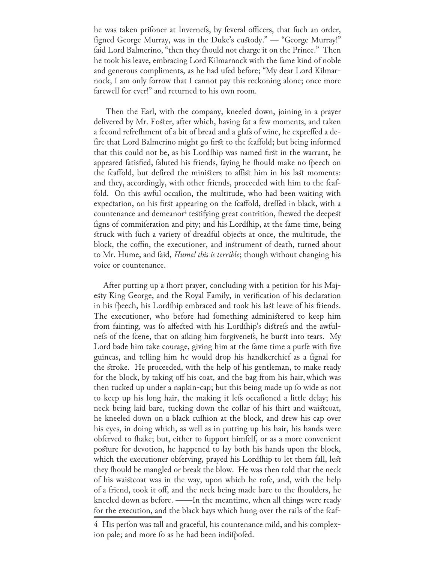he was taken prifoner at Invernefs, by feveral officers, that fuch an order, figned George Murray, was in the Duke's custody." — "George Murray!" faid Lord Balmerino, "then they fhould not charge it on the Prince." Then he took his leave, embracing Lord Kilmarnock with the fame kind of noble and generous compliments, as he had ufed before; "My dear Lord Kilmarnock, I am only forrow that I cannot pay this reckoning alone; once more farewell for ever!" and returned to his own room.

 Then the Earl, with the company, kneeled down, joining in a prayer delivered by Mr. Foster, after which, having fat a few moments, and taken a fecond refrefhment of a bit of bread and a glafs of wine, he expreffed a defire that Lord Balmerino might go first to the fcaffold; but being informed that this could not be, as his Lordship was named first in the warrant, he appeared fatisfied, faluted his friends, faying he fhould make no fpeech on the fcaffold, but defired the ministers to affist him in his last moments: and they, accordingly, with other friends, proceeded with him to the fcaffold. On this awful occafion, the multitude, who had been waiting with expectation, on his first appearing on the fcaffold, dreffed in black, with a countenance and demeanor $^4$  testifying great contrition, fhewed the deepest figns of commiferation and pity; and his Lordfhip, at the fame time, being struck with fuch a variety of dreadful objects at once, the multitude, the block, the coffin, the executioner, and instrument of death, turned about to Mr. Hume, and faid, *Hume! this is terrible*; though without changing his voice or countenance.

After putting up a fhort prayer, concluding with a petition for his Majesty King George, and the Royal Family, in verification of his declaration in his fpeech, his Lordfhip embraced and took his last leave of his friends. The executioner, who before had fomething administered to keep him from fainting, was fo affected with his Lordfhip's distrefs and the awfulness of the fcene, that on afking him forgiveness, he burst into tears. My Lord bade him take courage, giving him at the fame time a purfe with five guineas, and telling him he would drop his handkerchief as a fignal for the stroke. He proceeded, with the help of his gentleman, to make ready for the block, by taking off his coat, and the bag from his hair,which was then tucked up under a napkin-cap; but this being made up fo wide as not to keep up his long hair, the making it lefs occafioned a little delay; his neck being laid bare, tucking down the collar of his fhirt and waistcoat, he kneeled down on a black cufhion at the block, and drew his cap over his eyes, in doing which, as well as in putting up his hair, his hands were obferved to fhake; but, either to fupport himfelf, or as a more convenient posture for devotion, he happened to lay both his hands upon the block, which the executioner obferving, prayed his Lordfhip to let them fall, lest they fhould be mangled or break the blow. He was then told that the neck of his waistcoat was in the way, upon which he rofe, and, with the help of a friend, took it off, and the neck being made bare to the fhoulders, he kneeled down as before. ——In the meantime, when all things were ready for the execution, and the black bays which hung over the rails of the fcaf-

<sup>4</sup> His perfon was tall and graceful, his countenance mild, and his complexion pale; and more fo as he had been indifpofed.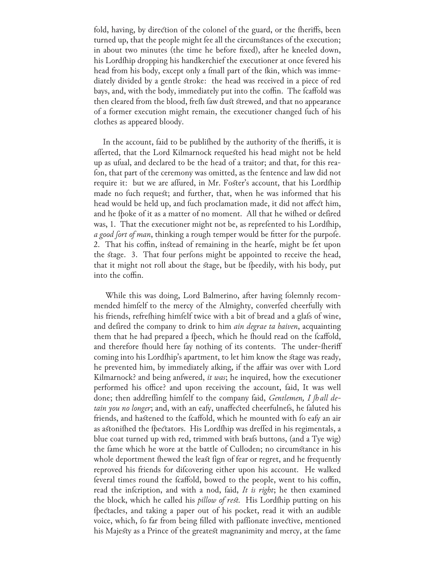fold, having, by direction of the colonel of the guard, or the fheriffs, been turned up, that the people might fee all the circumstances of the execution; in about two minutes (the time he before fixed), after he kneeled down, his Lordship dropping his handkerchief the executioner at once fevered his head from his body, except only a fmall part of the fkin, which was immediately divided by a gentle stroke: the head was received in a piece of red bays, and, with the body, immediately put into the coffin. The fcaffold was then cleared from the blood, frefh faw dust strewed, and that no appearance of a former execution might remain, the executioner changed fuch of his clothes as appeared bloody.

In the account, faid to be publifhed by the authority of the fheriffs, it is afferted, that the Lord Kilmarnock requested his head might not be held up as ufual, and declared to be the head of a traitor; and that, for this reafon, that part of the ceremony was omitted, as the fentence and law did not require it: but we are affured, in Mr. Foster's account, that his Lordfhip made no fuch request; and further, that, when he was informed that his head would be held up, and fuch proclamation made, it did not affect him, and he fpoke of it as a matter of no moment. All that he wifhed or defired was, 1. That the executioner might not be, as reprefented to his Lordfhip, *a good fort of man*, thinking a rough temper would be fitter for the purpofe. 2. That his coffin, instead of remaining in the hearfe, might be fet upon the stage. 3. That four perfons might be appointed to receive the head, that it might not roll about the stage, but be fpeedily, with his body, put into the coffin.

While this was doing, Lord Balmerino, after having folemnly recommended himfelf to the mercy of the Almighty, converfed cheerfully with his friends, refrething himfelf twice with a bit of bread and a glafs of wine, and defired the company to drink to him *ain degrae ta haiven*, acquainting them that he had prepared a fpeech, which he fhould read on the fcaffold, and therefore fhould here fay nothing of its contents. The under-fheriff coming into his Lordship's apartment, to let him know the stage was ready, he prevented him, by immediately afking, if the affair was over with Lord Kilmarnock? and being answered, *it was*; he inquired, how the executioner performed his office? and upon receiving the account, faid, It was well done; then addrefling himfelf to the company faid, *Gentlemen*, I *[hall detain you no longer*; and, with an eafy, unaffected cheerfulnefs, he faluted his friends, and hastened to the fcaffold, which he mounted with fo eafy an air as astonifhed the fpectators. His Lordfhip was dreffed in his regimentals, a blue coat turned up with red, trimmed with brafs buttons, (and a Tye wig) the fame which he wore at the battle of Culloden; no circumstance in his whole deportment fhewed the least fign of fear or regret, and he frequently reproved his friends for difcovering either upon his account. He walked feveral times round the fcaffold, bowed to the people, went to his coffin, read the infcription, and with a nod, faid, *It is right*; he then examined the block, which he called his *pillow of rest*. His Lordfhip putting on his fpectacles, and taking a paper out of his pocket, read it with an audible voice, which, fo far from being filled with paffionate invective, mentioned his Majesty as a Prince of the greatest magnanimity and mercy, at the fame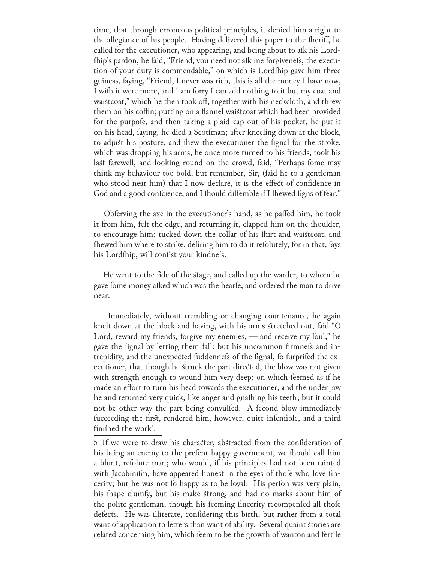time, that through erroneous political principles, it denied him a right to the allegiance of his people. Having delivered this paper to the fheriff, he called for the executioner, who appearing, and being about to afk his Lordfhip's pardon, he faid, "Friend, you need not afk me forgivenefs, the execution of your duty is commendable," on which is Lordfhip gave him three guineas, faying, "Friend, I never was rich, this is all the money I have now, I wifh it were more, and I am forry I can add nothing to it but my coat and waistcoat," which he then took off, together with his neckcloth, and threw them on his coffin; putting on a flannel waistcoat which had been provided for the purpofe, and then taking a plaid-cap out of his pocket, he put it on his head, faying, he died a Scotfman; after kneeling down at the block, to adjust his posture, and fhew the executioner the fignal for the stroke, which was dropping his arms, he once more turned to his friends, took his last farewell, and looking round on the crowd, faid, "Perhaps fome may think my behaviour too bold, but remember, Sir, (faid he to a gentleman who stood near him) that I now declare, it is the effect of confidence in God and a good confcience, and I fhould diffemble if I fhewed figns of fear."

Obferving the axe in the executioner's hand, as he paffed him, he took it from him, felt the edge, and returning it, clapped him on the fhoulder, to encourage him; tucked down the collar of his fhirt and waistcoat, and fhewed him where to strike, defiring him to do it refolutely, for in that, fays his Lordship, will confist your kindness.

He went to the fide of the stage, and called up the warder, to whom he gave fome money afked which was the hearfe, and ordered the man to drive near.

 Immediately, without trembling or changing countenance, he again knelt down at the block and having, with his arms stretched out, faid "O Lord, reward my friends, forgive my enemies,  $-$  and receive my foul," he gave the fignal by letting them fall: but his uncommon firmnefs and intrepidity, and the unexpected fuddennefs of the fignal, fo furprifed the executioner, that though he struck the part directed, the blow was not given with strength enough to wound him very deep; on which feemed as if he made an effort to turn his head towards the executioner, and the under jaw he and returned very quick, like anger and gnafhing his teeth; but it could not be other way the part being convulfed. A fecond blow immediately fucceeding the first, rendered him, however, quite infenfible, and a third fini $\theta$ hed the work<sup>5</sup>.

<sup>5</sup> If we were to draw his character, abstracted from the confideration of his being an enemy to the prefent happy government, we fhould call him a blunt, refolute man; who would, if his principles had not been tainted with Jacobinifm, have appeared honest in the eyes of thofe who love fincerity; but he was not fo happy as to be loyal. His perfon was very plain, his fhape clumfy, but his make strong, and had no marks about him of the polite gentleman, though his feeming fincerity recompenfed all thofe defects. He was illiterate, confidering this birth, but rather from a total want of application to letters than want of ability. Several quaint stories are related concerning him, which feem to be the growth of wanton and fertile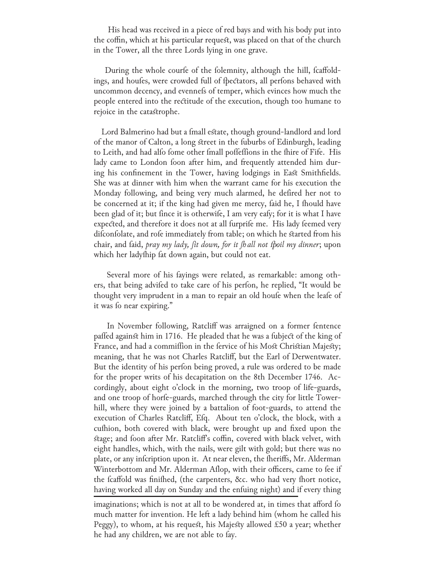His head was received in a piece of red bays and with his body put into the coffin, which at his particular request, was placed on that of the church in the Tower, all the three Lords lying in one grave.

During the whole courfe of the folemnity, although the hill, fcaffoldings, and houfes, were crowded full of fpectators, all perfons behaved with uncommon decency, and evennefs of temper, which evinces how much the people entered into the rectitude of the execution, though too humane to rejoice in the catastrophe.

Lord Balmerino had but a fmall estate, though ground-landlord and lord of the manor of Calton, a long street in the fuburbs of Edinburgh, leading to Leith, and had alfo fome other fmall poffeffions in the fhire of Fife. His lady came to London foon after him, and frequently attended him during his confinement in the Tower, having lodgings in East Smithfields. She was at dinner with him when the warrant came for his execution the Monday following, and being very much alarmed, he defired her not to be concerned at it; if the king had given me mercy, faid he, I fhould have been glad of it; but fince it is otherwife, I am very eafy; for it is what I have expected, and therefore it does not at all furprife me. His lady feemed very difconfolate, and rofe immediately from table; on which he started from his chair, and faid, *pray my lady, fit down, for it fhall not fpoil my dinner*; upon which her ladyship fat down again, but could not eat.

Several more of his fayings were related, as remarkable: among others, that being advifed to take care of his perfon, he replied, "It would be thought very imprudent in a man to repair an old houfe when the leafe of it was fo near expiring."

In November following, Ratcliff was arraigned on a former fentence paffed against him in 1716. He pleaded that he was a fubject of the king of France, and had a commiffion in the fervice of his Most Christian Majesty; meaning, that he was not Charles Ratcliff, but the Earl of Derwentwater. But the identity of his perfon being proved, a rule was ordered to be made for the proper writs of his decapitation on the 8th December 1746. Accordingly, about eight o'clock in the morning, two troop of life-guards, and one troop of horfe-guards, marched through the city for little Towerhill, where they were joined by a battalion of foot-guards, to attend the execution of Charles Ratcliff, Efq. About ten o'clock, the block, with a cufhion, both covered with black, were brought up and fixed upon the stage; and foon after Mr. Ratcliff's coffin, covered with black velvet, with eight handles, which, with the nails, were gilt with gold; but there was no plate, or any infcription upon it. At near eleven, the fheriffs, Mr. Alderman Winterbottom and Mr. Alderman Aflop, with their officers, came to fee if the fcaffold was finifhed, (the carpenters, &c. who had very fhort notice, having worked all day on Sunday and the enfuing night) and if every thing

imaginations; which is not at all to be wondered at, in times that afford fo much matter for invention. He left a lady behind him (whom he called his Peggy), to whom, at his request, his Majesty allowed £50 a year; whether he had any children, we are not able to fay.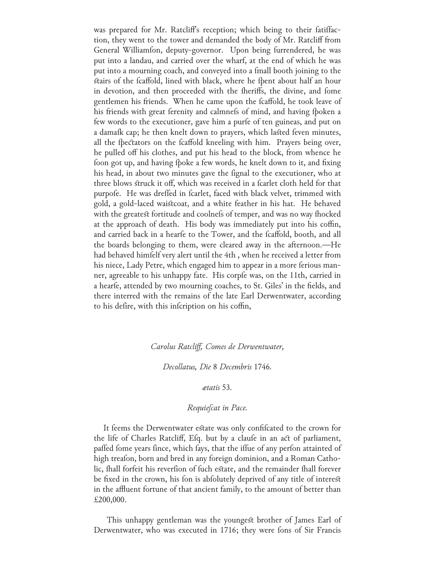was prepared for Mr. Ratcliff's reception; which being to their fatiffaction, they went to the tower and demanded the body of Mr. Ratcliff from General Williamfon, deputy-governor. Upon being furrendered, he was put into a landau, and carried over the wharf, at the end of which he was put into a mourning coach, and conveyed into a fmall booth joining to the stairs of the fcaffold, lined with black, where he fpent about half an hour in devotion, and then proceeded with the fheriffs, the divine, and fome gentlemen his friends. When he came upon the fcaffold, he took leave of his friends with great ferenity and calmnefs of mind, and having fpoken a few words to the executioner, gave him a purfe of ten guineas, and put on a damafk cap; he then knelt down to prayers, which lasted feven minutes, all the fpectators on the fcaffold kneeling with him. Prayers being over, he pulled off his clothes, and put his head to the block, from whence he foon got up, and having fpoke a few words, he knelt down to it, and fixing his head, in about two minutes gave the fignal to the executioner, who at three blows struck it off, which was received in a fcarlet cloth held for that purpofe. He was dreffed in fcarlet, faced with black velvet, trimmed with gold, a gold-laced waistcoat, and a white feather in his hat. He behaved with the greatest fortitude and coolnefs of temper, and was no way fhocked at the approach of death. His body was immediately put into his coffin, and carried back in a hearfe to the Tower, and the fcaffold, booth, and all the boards belonging to them, were cleared away in the afternoon.—He had behaved himfelf very alert until the 4th, when he received a letter from his niece, Lady Petre, which engaged him to appear in a more ferious manner, agreeable to his unhappy fate. His corpfe was, on the 11th, carried in a hearfe, attended by two mourning coaches, to St. Giles' in the fields, and there interred with the remains of the late Earl Derwentwater, according to his defire, with this infcription on his coffin,

#### *Carolus Ratcliff, Comes de Derwentwater,*

#### *Decollatus, Die* 8 *Decembris* 1746*.*

#### *ætatis* 53*.*

#### *Requiescat in Pace.*

It feems the Derwentwater estate was only confificated to the crown for the life of Charles Ratcliff, Efq. but by a claufe in an act of parliament, paffed fome years fince, which fays, that the iffue of any perfon attainted of high treafon, born and bred in any foreign dominion, and a Roman Catholic, fhall forfeit his reverfion of fuch estate, and the remainder fhall forever be fixed in the crown, his fon is abfolutely deprived of any title of interest in the affluent fortune of that ancient family, to the amount of better than £200,000.

 This unhappy gentleman was the youngest brother of James Earl of Derwentwater, who was executed in 1716; they were fons of Sir Francis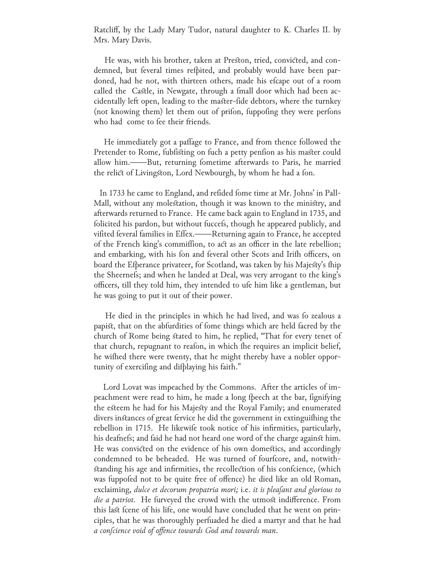Ratcliff, by the Lady Mary Tudor, natural daughter to K. Charles II. by Mrs. Mary Davis.

 He was, with his brother, taken at Preston, tried, convicted, and condemned, but feveral times refpited, and probably would have been pardoned, had he not, with thirteen others, made his efcape out of a room called the Castle, in Newgate, through a fmall door which had been accidentally left open, leading to the master-fide debtors, where the turnkey (not knowing them) let them out of prifon, fuppofing they were perfons who had come to fee their friends.

He immediately got a paffage to France, and from thence followed the Pretender to Rome, fubfisting on fuch a petty penfion as his master could allow him.——But, returning fometime afterwards to Paris, he married the relict of Livingston, Lord Newbourgh, by whom he had a fon.

In 1733 he came to England, and refided fome time at Mr. Johns' in Pall-Mall, without any molestation, though it was known to the ministry, and afterwards returned to France. He came back again to England in 1735, and folicited his pardon, but without fuccefs, though he appeared publicly, and vifited feveral families in Effex.——Returning again to France, he accepted of the French king's commiffion, to act as an officer in the late rebellion; and embarking, with his fon and feveral other Scots and Irifh officers, on board the Efperance privateer, for Scotland, was taken by his Majesty's fhip the Sheernefs; and when he landed at Deal, was very arrogant to the king's officers, till they told him, they intended to ufe him like a gentleman, but he was going to put it out of their power.

He died in the principles in which he had lived, and was fo zealous a papist, that on the abfurdities of fome things which are held facred by the church of Rome being stated to him, he replied, "That for every tenet of that church, repugnant to reafon, in which fhe requires an implicit belief, he wifhed there were twenty, that he might thereby have a nobler opportunity of exercifing and difplaying his faith."

 Lord Lovat was impeached by the Commons. After the articles of impeachment were read to him, he made a long fpeech at the bar, fignifying the esteem he had for his Majesty and the Royal Family; and enumerated divers instances of great fervice he did the government in extinguifhing the rebellion in 1715. He likewife took notice of his infirmities, particularly, his deafnefs; and faid he had not heard one word of the charge against him. He was convicted on the evidence of his own domestics, and accordingly condemned to be beheaded. He was turned of fourfcore, and, notwithstanding his age and infirmities, the recollection of his confcience, (which was fuppofed not to be quite free of offence) he died like an old Roman, exclaiming, *dulce et decorum propatria mori*; *i.e. it is pleafant and glorious to die a patriot*. He furveyed the crowd with the utmost indifference. From this last fcene of his life, one would have concluded that he went on principles, that he was thoroughly perfuaded he died a martyr and that he had *a conscience void of offence towards God and towards man*.